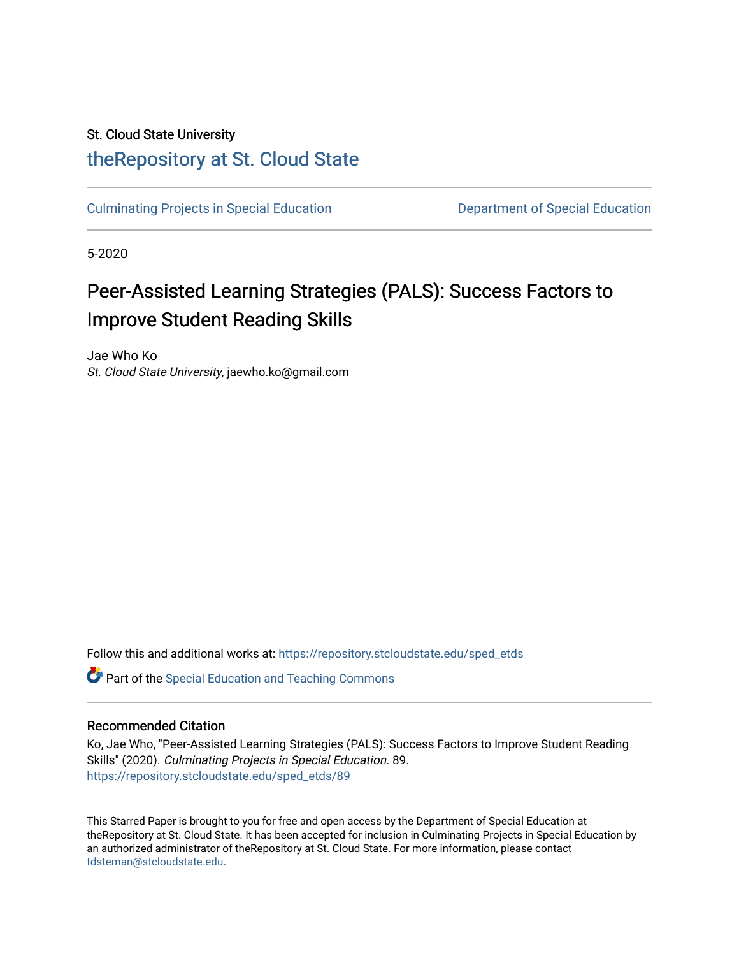## St. Cloud State University [theRepository at St. Cloud State](https://repository.stcloudstate.edu/)

[Culminating Projects in Special Education](https://repository.stcloudstate.edu/sped_etds) [Department of Special Education](https://repository.stcloudstate.edu/sped) 

5-2020

# Peer-Assisted Learning Strategies (PALS): Success Factors to Improve Student Reading Skills

Jae Who Ko St. Cloud State University, jaewho.ko@gmail.com

Follow this and additional works at: [https://repository.stcloudstate.edu/sped\\_etds](https://repository.stcloudstate.edu/sped_etds?utm_source=repository.stcloudstate.edu%2Fsped_etds%2F89&utm_medium=PDF&utm_campaign=PDFCoverPages) 

**C** Part of the Special Education and Teaching Commons

### Recommended Citation

Ko, Jae Who, "Peer-Assisted Learning Strategies (PALS): Success Factors to Improve Student Reading Skills" (2020). Culminating Projects in Special Education. 89. [https://repository.stcloudstate.edu/sped\\_etds/89](https://repository.stcloudstate.edu/sped_etds/89?utm_source=repository.stcloudstate.edu%2Fsped_etds%2F89&utm_medium=PDF&utm_campaign=PDFCoverPages) 

This Starred Paper is brought to you for free and open access by the Department of Special Education at theRepository at St. Cloud State. It has been accepted for inclusion in Culminating Projects in Special Education by an authorized administrator of theRepository at St. Cloud State. For more information, please contact [tdsteman@stcloudstate.edu](mailto:tdsteman@stcloudstate.edu).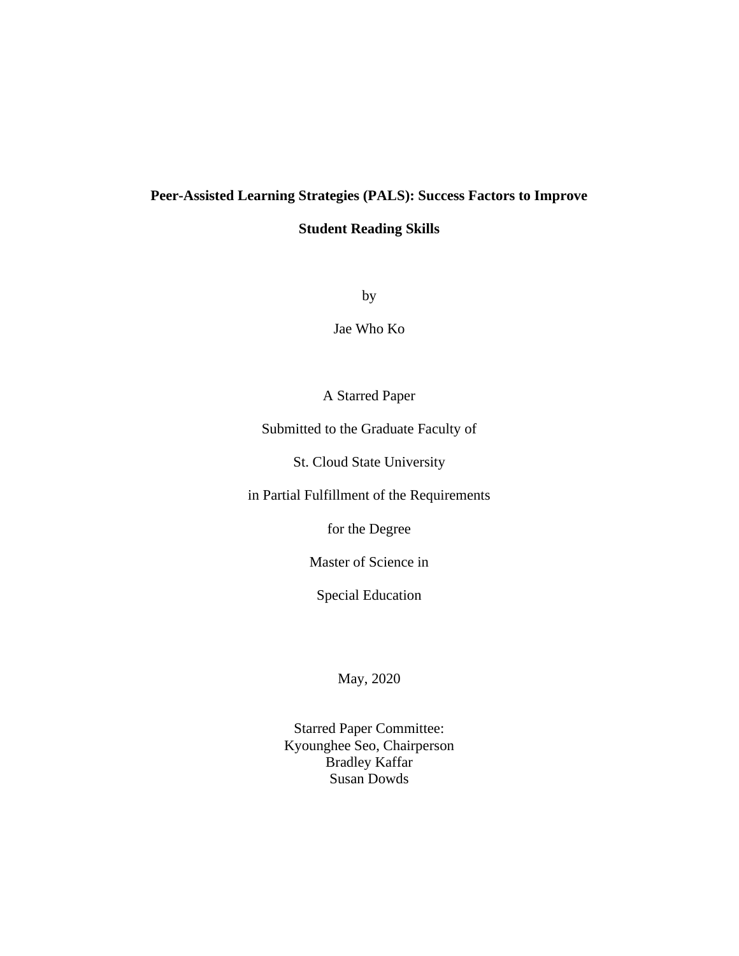# **Peer-Assisted Learning Strategies (PALS): Success Factors to Improve**

**Student Reading Skills**

by

Jae Who Ko

A Starred Paper

Submitted to the Graduate Faculty of

St. Cloud State University

in Partial Fulfillment of the Requirements

for the Degree

Master of Science in

Special Education

May, 2020

Starred Paper Committee: Kyounghee Seo, Chairperson Bradley Kaffar Susan Dowds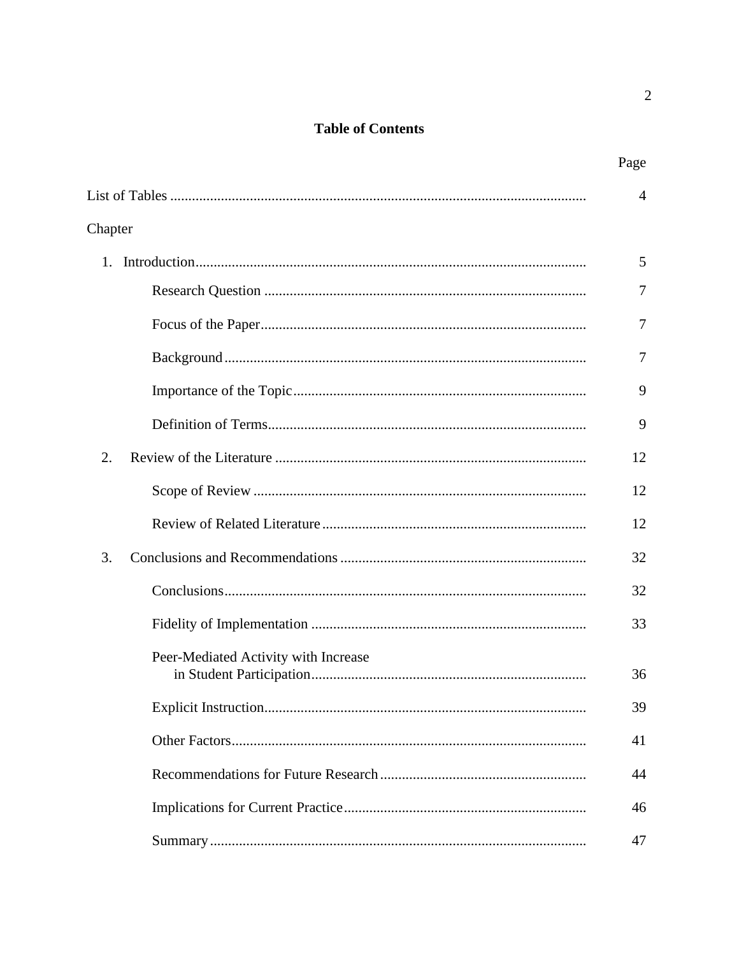### **Table of Contents**

|                                      | $\overline{A}$ |
|--------------------------------------|----------------|
| Chapter                              |                |
| 1.                                   | 5              |
|                                      | 7              |
|                                      | 7              |
|                                      | 7              |
|                                      | 9              |
|                                      | 9              |
| 2.                                   | 12             |
|                                      | 12             |
|                                      | 12             |
| 3.                                   | 32             |
|                                      | 32             |
|                                      | 33             |
| Peer-Mediated Activity with Increase | 36             |
|                                      | 39             |
|                                      | 41             |
|                                      | 44             |
|                                      | 46             |
|                                      | 47             |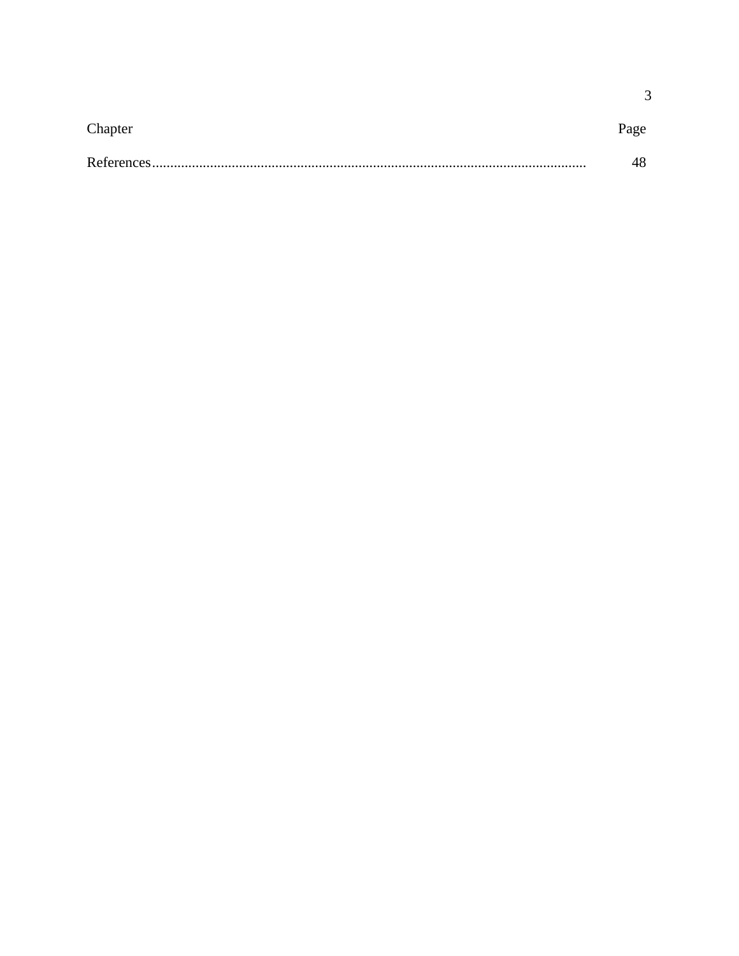| Chapter | age |
|---------|-----|
|         |     |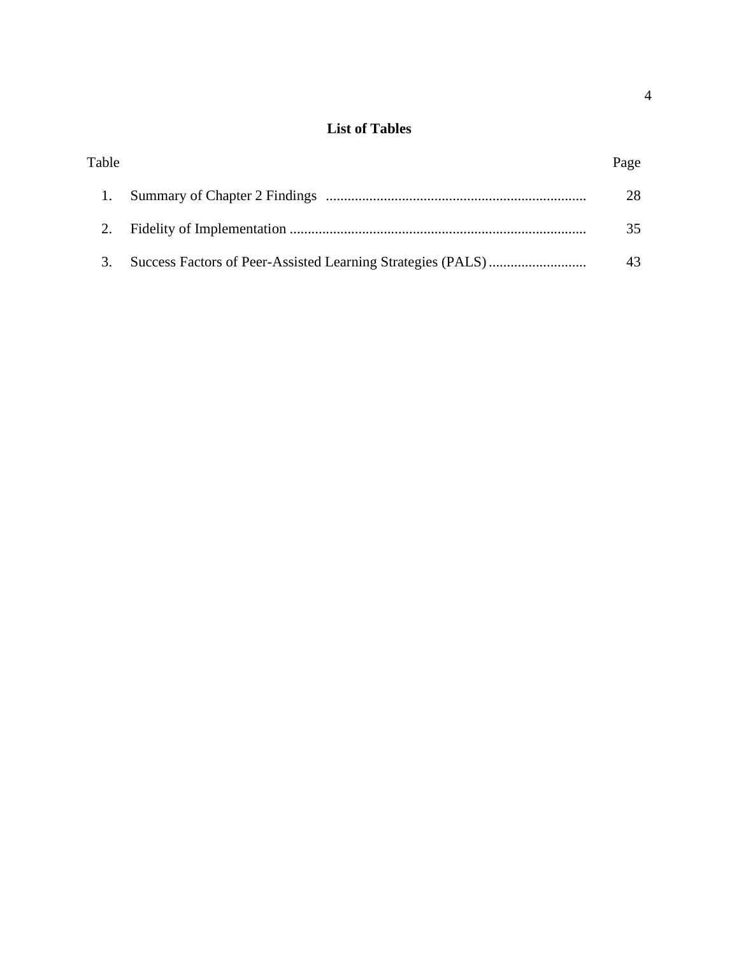### **List of Tables**

| Table | Page |
|-------|------|
|       |      |
|       |      |
|       |      |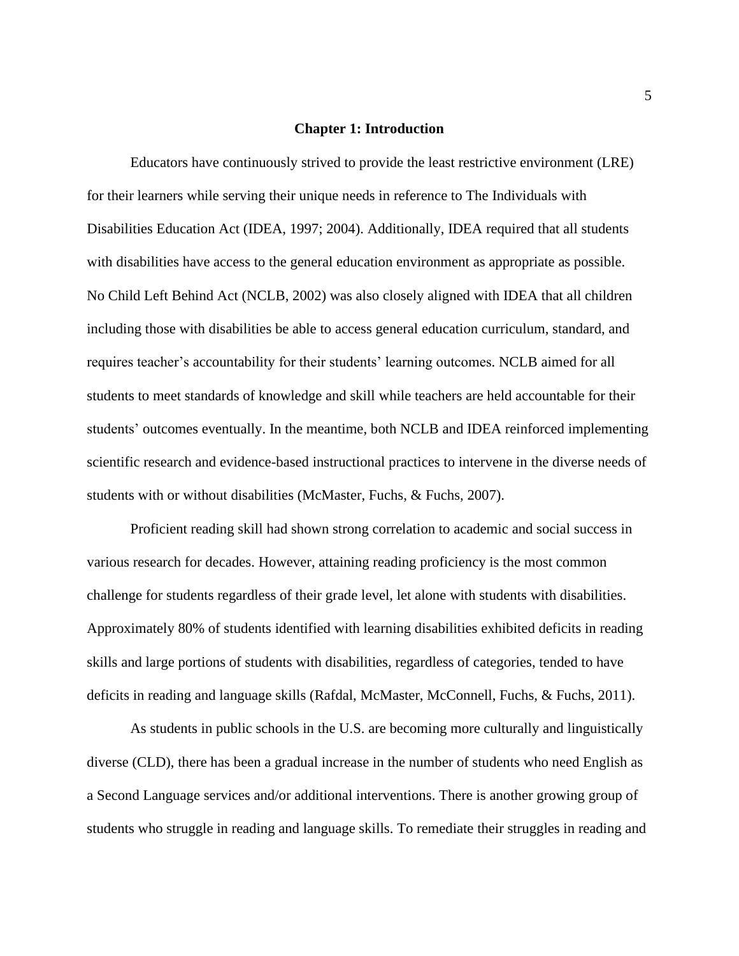#### **Chapter 1: Introduction**

Educators have continuously strived to provide the least restrictive environment (LRE) for their learners while serving their unique needs in reference to The Individuals with Disabilities Education Act (IDEA, 1997; 2004). Additionally, IDEA required that all students with disabilities have access to the general education environment as appropriate as possible. No Child Left Behind Act (NCLB, 2002) was also closely aligned with IDEA that all children including those with disabilities be able to access general education curriculum, standard, and requires teacher's accountability for their students' learning outcomes. NCLB aimed for all students to meet standards of knowledge and skill while teachers are held accountable for their students' outcomes eventually. In the meantime, both NCLB and IDEA reinforced implementing scientific research and evidence-based instructional practices to intervene in the diverse needs of students with or without disabilities (McMaster, Fuchs, & Fuchs, 2007).

Proficient reading skill had shown strong correlation to academic and social success in various research for decades. However, attaining reading proficiency is the most common challenge for students regardless of their grade level, let alone with students with disabilities. Approximately 80% of students identified with learning disabilities exhibited deficits in reading skills and large portions of students with disabilities, regardless of categories, tended to have deficits in reading and language skills (Rafdal, McMaster, McConnell, Fuchs, & Fuchs, 2011).

As students in public schools in the U.S. are becoming more culturally and linguistically diverse (CLD), there has been a gradual increase in the number of students who need English as a Second Language services and/or additional interventions. There is another growing group of students who struggle in reading and language skills. To remediate their struggles in reading and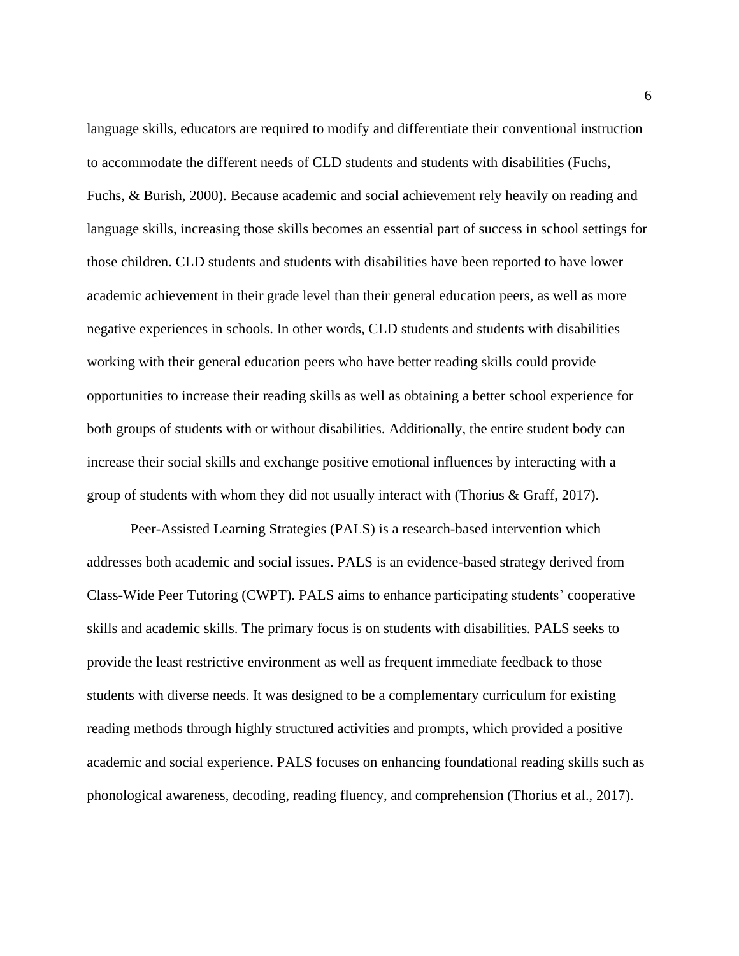language skills, educators are required to modify and differentiate their conventional instruction to accommodate the different needs of CLD students and students with disabilities (Fuchs, Fuchs, & Burish, 2000). Because academic and social achievement rely heavily on reading and language skills, increasing those skills becomes an essential part of success in school settings for those children. CLD students and students with disabilities have been reported to have lower academic achievement in their grade level than their general education peers, as well as more negative experiences in schools. In other words, CLD students and students with disabilities working with their general education peers who have better reading skills could provide opportunities to increase their reading skills as well as obtaining a better school experience for both groups of students with or without disabilities. Additionally, the entire student body can increase their social skills and exchange positive emotional influences by interacting with a group of students with whom they did not usually interact with (Thorius & Graff, 2017).

Peer-Assisted Learning Strategies (PALS) is a research-based intervention which addresses both academic and social issues. PALS is an evidence-based strategy derived from Class-Wide Peer Tutoring (CWPT). PALS aims to enhance participating students' cooperative skills and academic skills. The primary focus is on students with disabilities. PALS seeks to provide the least restrictive environment as well as frequent immediate feedback to those students with diverse needs. It was designed to be a complementary curriculum for existing reading methods through highly structured activities and prompts, which provided a positive academic and social experience. PALS focuses on enhancing foundational reading skills such as phonological awareness, decoding, reading fluency, and comprehension (Thorius et al., 2017).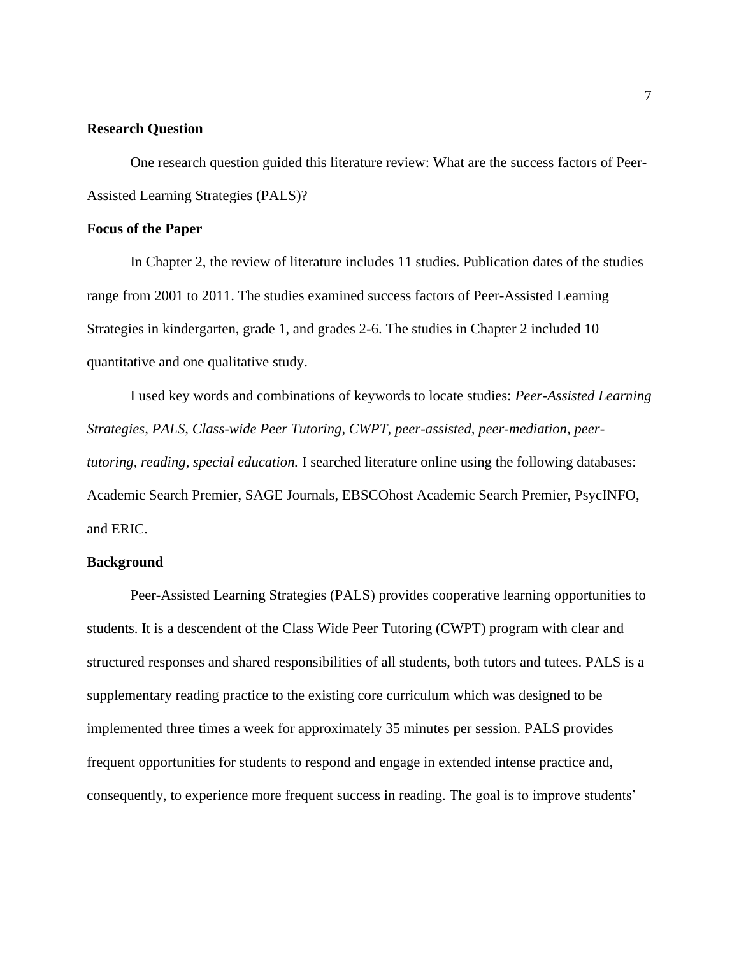### **Research Question**

One research question guided this literature review: What are the success factors of Peer-Assisted Learning Strategies (PALS)?

### **Focus of the Paper**

In Chapter 2, the review of literature includes 11 studies. Publication dates of the studies range from 2001 to 2011. The studies examined success factors of Peer-Assisted Learning Strategies in kindergarten, grade 1, and grades 2-6. The studies in Chapter 2 included 10 quantitative and one qualitative study.

I used key words and combinations of keywords to locate studies: *Peer-Assisted Learning Strategies, PALS, Class-wide Peer Tutoring, CWPT, peer-assisted, peer-mediation, peertutoring, reading, special education.* I searched literature online using the following databases: Academic Search Premier, SAGE Journals, EBSCOhost Academic Search Premier, PsycINFO, and ERIC.

### **Background**

Peer-Assisted Learning Strategies (PALS) provides cooperative learning opportunities to students. It is a descendent of the Class Wide Peer Tutoring (CWPT) program with clear and structured responses and shared responsibilities of all students, both tutors and tutees. PALS is a supplementary reading practice to the existing core curriculum which was designed to be implemented three times a week for approximately 35 minutes per session. PALS provides frequent opportunities for students to respond and engage in extended intense practice and, consequently, to experience more frequent success in reading. The goal is to improve students'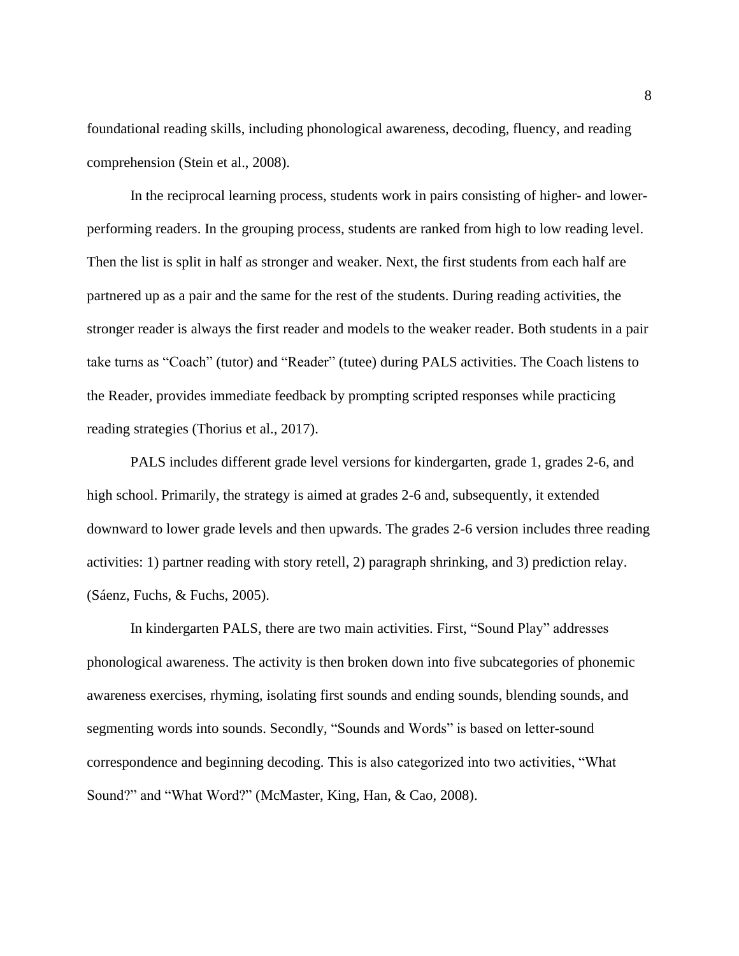foundational reading skills, including phonological awareness, decoding, fluency, and reading comprehension (Stein et al., 2008).

In the reciprocal learning process, students work in pairs consisting of higher- and lowerperforming readers. In the grouping process, students are ranked from high to low reading level. Then the list is split in half as stronger and weaker. Next, the first students from each half are partnered up as a pair and the same for the rest of the students. During reading activities, the stronger reader is always the first reader and models to the weaker reader. Both students in a pair take turns as "Coach" (tutor) and "Reader" (tutee) during PALS activities. The Coach listens to the Reader, provides immediate feedback by prompting scripted responses while practicing reading strategies (Thorius et al., 2017).

PALS includes different grade level versions for kindergarten, grade 1, grades 2-6, and high school. Primarily, the strategy is aimed at grades 2-6 and, subsequently, it extended downward to lower grade levels and then upwards. The grades 2-6 version includes three reading activities: 1) partner reading with story retell, 2) paragraph shrinking, and 3) prediction relay. (Sáenz, Fuchs, & Fuchs, 2005).

In kindergarten PALS, there are two main activities. First, "Sound Play" addresses phonological awareness. The activity is then broken down into five subcategories of phonemic awareness exercises, rhyming, isolating first sounds and ending sounds, blending sounds, and segmenting words into sounds. Secondly, "Sounds and Words" is based on letter-sound correspondence and beginning decoding. This is also categorized into two activities, "What Sound?" and "What Word?" (McMaster, King, Han, & Cao, 2008).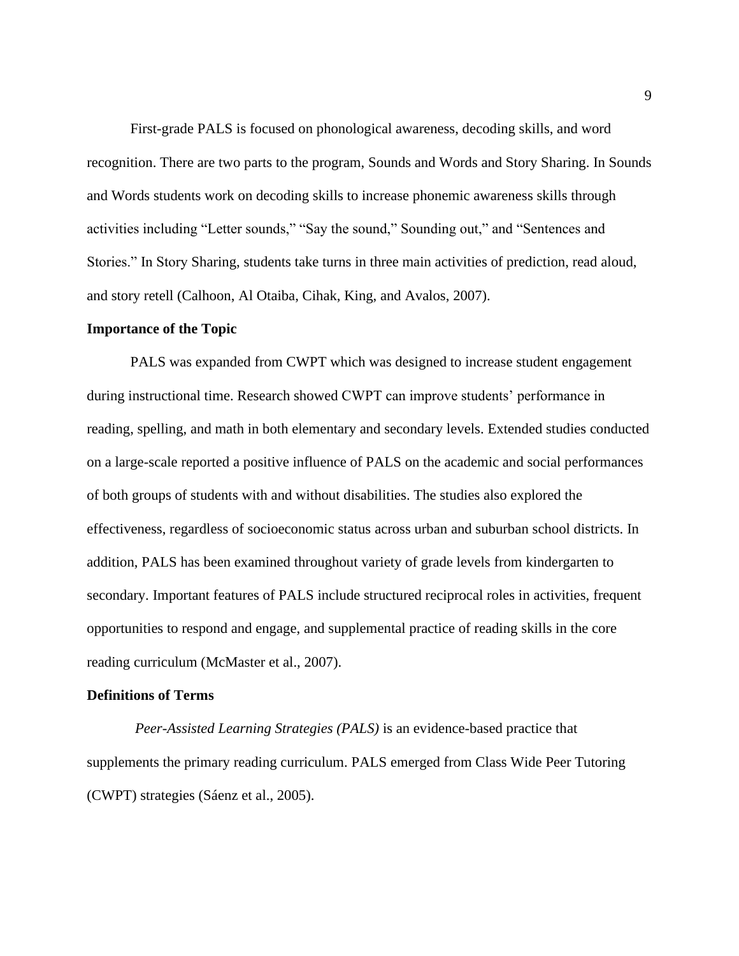First-grade PALS is focused on phonological awareness, decoding skills, and word recognition. There are two parts to the program, Sounds and Words and Story Sharing. In Sounds and Words students work on decoding skills to increase phonemic awareness skills through activities including "Letter sounds," "Say the sound," Sounding out," and "Sentences and Stories." In Story Sharing, students take turns in three main activities of prediction, read aloud, and story retell (Calhoon, Al Otaiba, Cihak, King, and Avalos, 2007).

### **Importance of the Topic**

PALS was expanded from CWPT which was designed to increase student engagement during instructional time. Research showed CWPT can improve students' performance in reading, spelling, and math in both elementary and secondary levels. Extended studies conducted on a large-scale reported a positive influence of PALS on the academic and social performances of both groups of students with and without disabilities. The studies also explored the effectiveness, regardless of socioeconomic status across urban and suburban school districts. In addition, PALS has been examined throughout variety of grade levels from kindergarten to secondary. Important features of PALS include structured reciprocal roles in activities, frequent opportunities to respond and engage, and supplemental practice of reading skills in the core reading curriculum (McMaster et al., 2007).

#### **Definitions of Terms**

*Peer-Assisted Learning Strategies (PALS)* is an evidence-based practice that supplements the primary reading curriculum. PALS emerged from Class Wide Peer Tutoring (CWPT) strategies (Sáenz et al., 2005).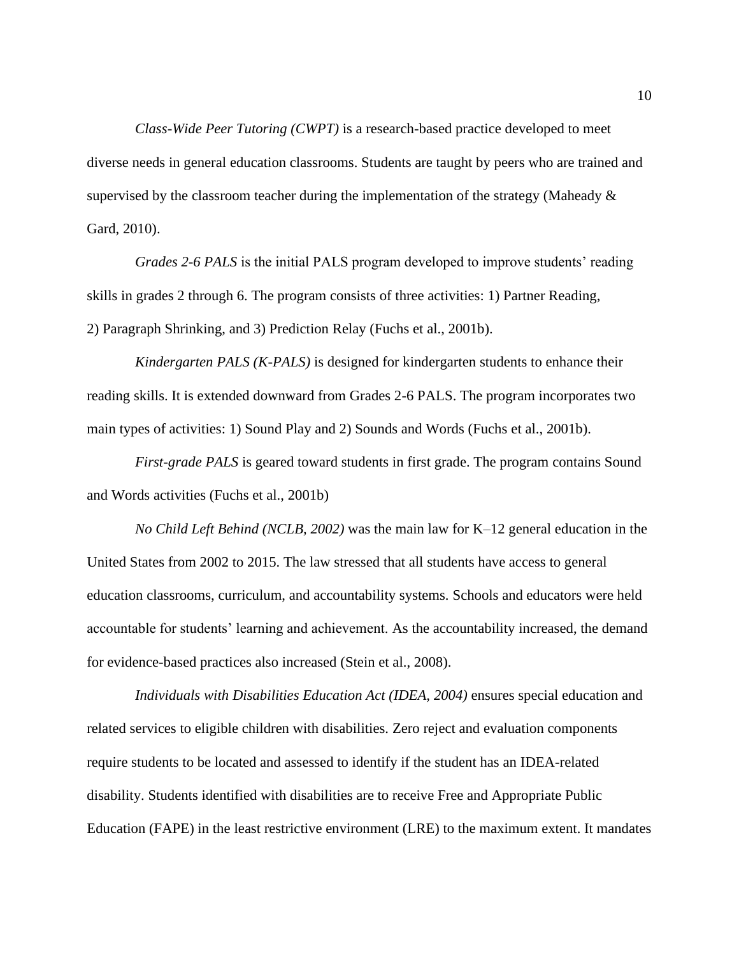*Class-Wide Peer Tutoring (CWPT)* is a research-based practice developed to meet diverse needs in general education classrooms. Students are taught by peers who are trained and supervised by the classroom teacher during the implementation of the strategy (Maheady & Gard, 2010).

*Grades 2-6 PALS* is the initial PALS program developed to improve students' reading skills in grades 2 through 6. The program consists of three activities: 1) Partner Reading, 2) Paragraph Shrinking, and 3) Prediction Relay (Fuchs et al., 2001b).

*Kindergarten PALS (K-PALS)* is designed for kindergarten students to enhance their reading skills. It is extended downward from Grades 2-6 PALS. The program incorporates two main types of activities: 1) Sound Play and 2) Sounds and Words (Fuchs et al., 2001b).

*First-grade PALS* is geared toward students in first grade. The program contains Sound and Words activities (Fuchs et al., 2001b)

*No Child Left Behind (NCLB, 2002)* was the main law for K–12 general education in the United States from 2002 to 2015. The law stressed that all students have access to general education classrooms, curriculum, and accountability systems. Schools and educators were held accountable for students' learning and achievement. As the accountability increased, the demand for evidence-based practices also increased (Stein et al., 2008).

*Individuals with Disabilities Education Act (IDEA, 2004)* ensures special education and related services to eligible children with disabilities. Zero reject and evaluation components require students to be located and assessed to identify if the student has an IDEA-related disability. Students identified with disabilities are to receive Free and Appropriate Public Education (FAPE) in the least restrictive environment (LRE) to the maximum extent. It mandates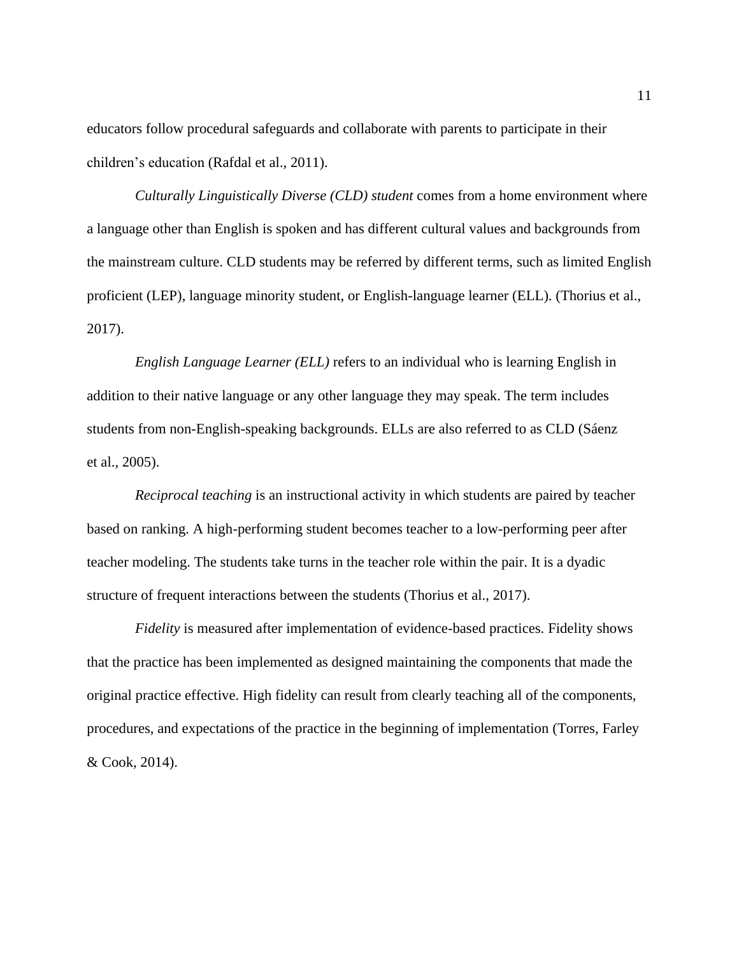educators follow procedural safeguards and collaborate with parents to participate in their children's education (Rafdal et al., 2011).

*Culturally Linguistically Diverse (CLD) student* comes from a home environment where a language other than English is spoken and has different cultural values and backgrounds from the mainstream culture. CLD students may be referred by different terms, such as limited English proficient (LEP), language minority student, or English-language learner (ELL). (Thorius et al., 2017).

*English Language Learner (ELL)* refers to an individual who is learning English in addition to their native language or any other language they may speak. The term includes students from non-English-speaking backgrounds. ELLs are also referred to as CLD (Sáenz et al., 2005).

*Reciprocal teaching* is an instructional activity in which students are paired by teacher based on ranking. A high-performing student becomes teacher to a low-performing peer after teacher modeling. The students take turns in the teacher role within the pair. It is a dyadic structure of frequent interactions between the students (Thorius et al., 2017).

*Fidelity* is measured after implementation of evidence-based practices. Fidelity shows that the practice has been implemented as designed maintaining the components that made the original practice effective. High fidelity can result from clearly teaching all of the components, procedures, and expectations of the practice in the beginning of implementation (Torres, Farley & Cook, 2014).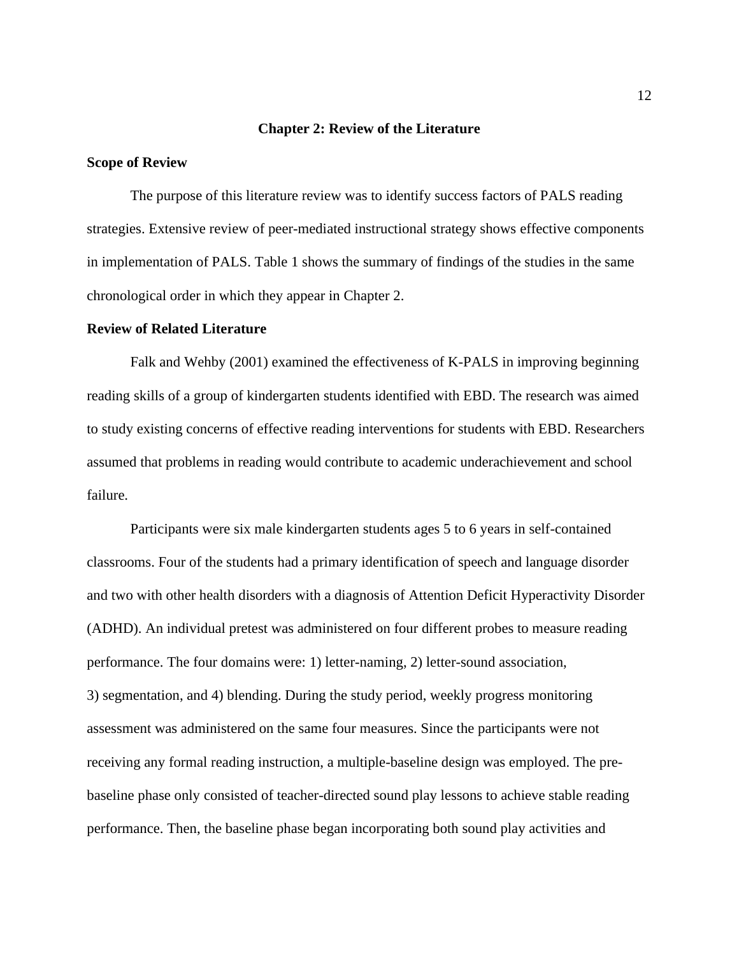#### **Chapter 2: Review of the Literature**

### **Scope of Review**

The purpose of this literature review was to identify success factors of PALS reading strategies. Extensive review of peer-mediated instructional strategy shows effective components in implementation of PALS. Table 1 shows the summary of findings of the studies in the same chronological order in which they appear in Chapter 2.

### **Review of Related Literature**

Falk and Wehby (2001) examined the effectiveness of K-PALS in improving beginning reading skills of a group of kindergarten students identified with EBD. The research was aimed to study existing concerns of effective reading interventions for students with EBD. Researchers assumed that problems in reading would contribute to academic underachievement and school failure.

Participants were six male kindergarten students ages 5 to 6 years in self-contained classrooms. Four of the students had a primary identification of speech and language disorder and two with other health disorders with a diagnosis of Attention Deficit Hyperactivity Disorder (ADHD). An individual pretest was administered on four different probes to measure reading performance. The four domains were: 1) letter-naming, 2) letter-sound association, 3) segmentation, and 4) blending. During the study period, weekly progress monitoring assessment was administered on the same four measures. Since the participants were not receiving any formal reading instruction, a multiple-baseline design was employed. The prebaseline phase only consisted of teacher-directed sound play lessons to achieve stable reading performance. Then, the baseline phase began incorporating both sound play activities and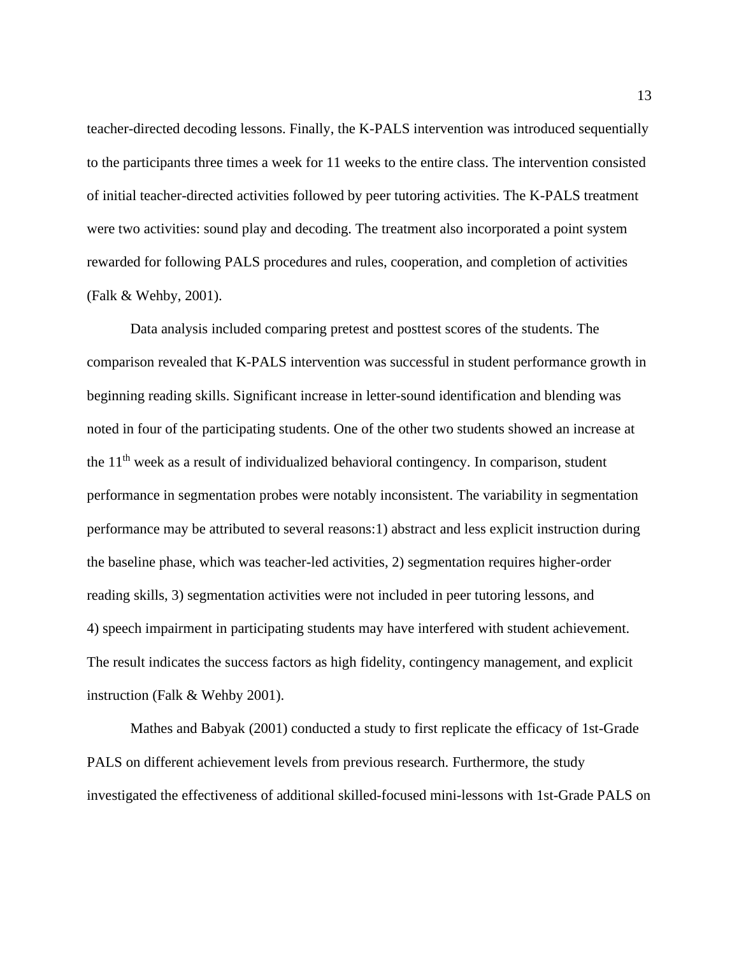teacher-directed decoding lessons. Finally, the K-PALS intervention was introduced sequentially to the participants three times a week for 11 weeks to the entire class. The intervention consisted of initial teacher-directed activities followed by peer tutoring activities. The K-PALS treatment were two activities: sound play and decoding. The treatment also incorporated a point system rewarded for following PALS procedures and rules, cooperation, and completion of activities (Falk & Wehby, 2001).

Data analysis included comparing pretest and posttest scores of the students. The comparison revealed that K-PALS intervention was successful in student performance growth in beginning reading skills. Significant increase in letter-sound identification and blending was noted in four of the participating students. One of the other two students showed an increase at the  $11<sup>th</sup>$  week as a result of individualized behavioral contingency. In comparison, student performance in segmentation probes were notably inconsistent. The variability in segmentation performance may be attributed to several reasons:1) abstract and less explicit instruction during the baseline phase, which was teacher-led activities, 2) segmentation requires higher-order reading skills, 3) segmentation activities were not included in peer tutoring lessons, and 4) speech impairment in participating students may have interfered with student achievement. The result indicates the success factors as high fidelity, contingency management, and explicit instruction (Falk & Wehby 2001).

Mathes and Babyak (2001) conducted a study to first replicate the efficacy of 1st-Grade PALS on different achievement levels from previous research. Furthermore, the study investigated the effectiveness of additional skilled-focused mini-lessons with 1st-Grade PALS on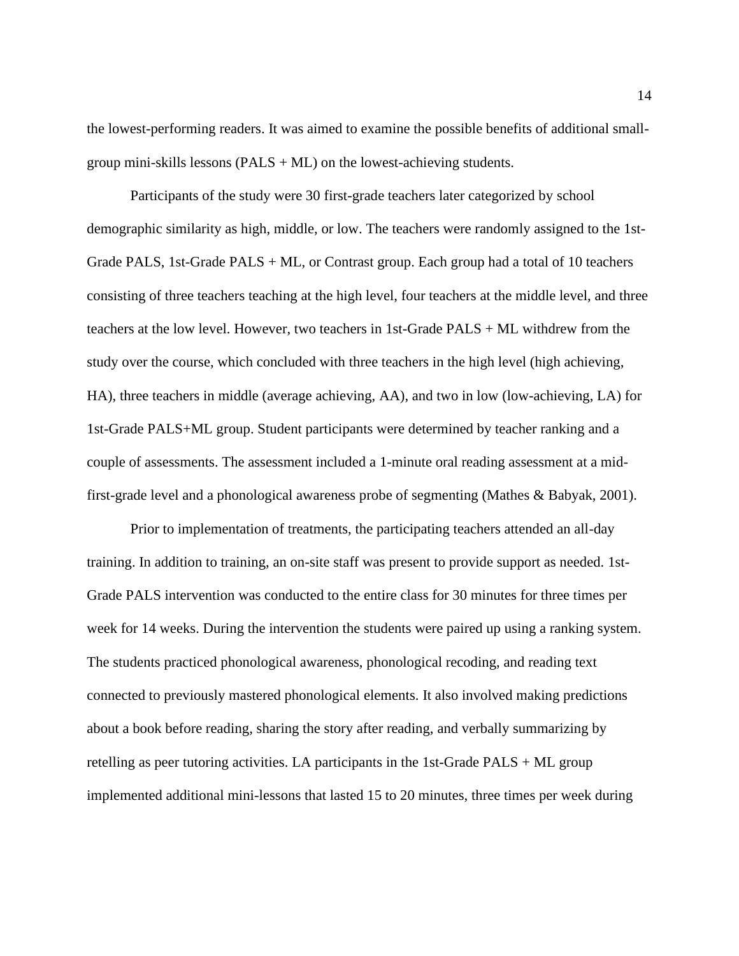the lowest-performing readers. It was aimed to examine the possible benefits of additional smallgroup mini-skills lessons ( $PALS + ML$ ) on the lowest-achieving students.

Participants of the study were 30 first-grade teachers later categorized by school demographic similarity as high, middle, or low. The teachers were randomly assigned to the 1st-Grade PALS, 1st-Grade PALS + ML, or Contrast group. Each group had a total of 10 teachers consisting of three teachers teaching at the high level, four teachers at the middle level, and three teachers at the low level. However, two teachers in 1st-Grade PALS + ML withdrew from the study over the course, which concluded with three teachers in the high level (high achieving, HA), three teachers in middle (average achieving, AA), and two in low (low-achieving, LA) for 1st-Grade PALS+ML group. Student participants were determined by teacher ranking and a couple of assessments. The assessment included a 1-minute oral reading assessment at a midfirst-grade level and a phonological awareness probe of segmenting (Mathes & Babyak, 2001).

Prior to implementation of treatments, the participating teachers attended an all-day training. In addition to training, an on-site staff was present to provide support as needed. 1st-Grade PALS intervention was conducted to the entire class for 30 minutes for three times per week for 14 weeks. During the intervention the students were paired up using a ranking system. The students practiced phonological awareness, phonological recoding, and reading text connected to previously mastered phonological elements. It also involved making predictions about a book before reading, sharing the story after reading, and verbally summarizing by retelling as peer tutoring activities. LA participants in the 1st-Grade PALS + ML group implemented additional mini-lessons that lasted 15 to 20 minutes, three times per week during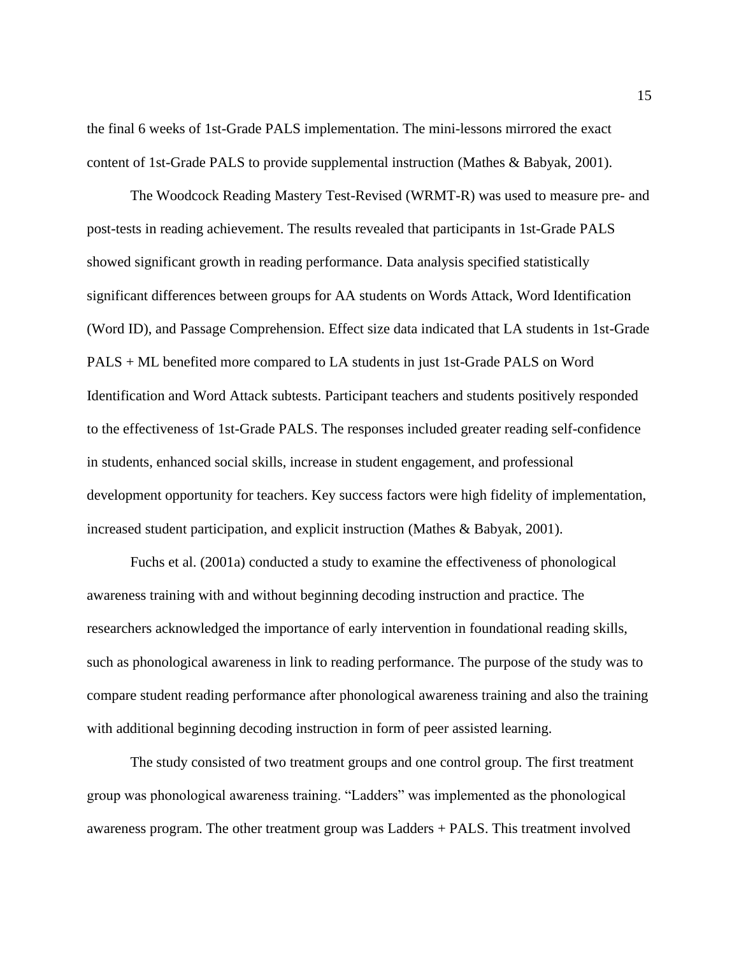the final 6 weeks of 1st-Grade PALS implementation. The mini-lessons mirrored the exact content of 1st-Grade PALS to provide supplemental instruction (Mathes & Babyak, 2001).

The Woodcock Reading Mastery Test-Revised (WRMT-R) was used to measure pre- and post-tests in reading achievement. The results revealed that participants in 1st-Grade PALS showed significant growth in reading performance. Data analysis specified statistically significant differences between groups for AA students on Words Attack, Word Identification (Word ID), and Passage Comprehension. Effect size data indicated that LA students in 1st-Grade PALS + ML benefited more compared to LA students in just 1st-Grade PALS on Word Identification and Word Attack subtests. Participant teachers and students positively responded to the effectiveness of 1st-Grade PALS. The responses included greater reading self-confidence in students, enhanced social skills, increase in student engagement, and professional development opportunity for teachers. Key success factors were high fidelity of implementation, increased student participation, and explicit instruction (Mathes & Babyak, 2001).

Fuchs et al. (2001a) conducted a study to examine the effectiveness of phonological awareness training with and without beginning decoding instruction and practice. The researchers acknowledged the importance of early intervention in foundational reading skills, such as phonological awareness in link to reading performance. The purpose of the study was to compare student reading performance after phonological awareness training and also the training with additional beginning decoding instruction in form of peer assisted learning.

The study consisted of two treatment groups and one control group. The first treatment group was phonological awareness training. "Ladders" was implemented as the phonological awareness program. The other treatment group was Ladders + PALS. This treatment involved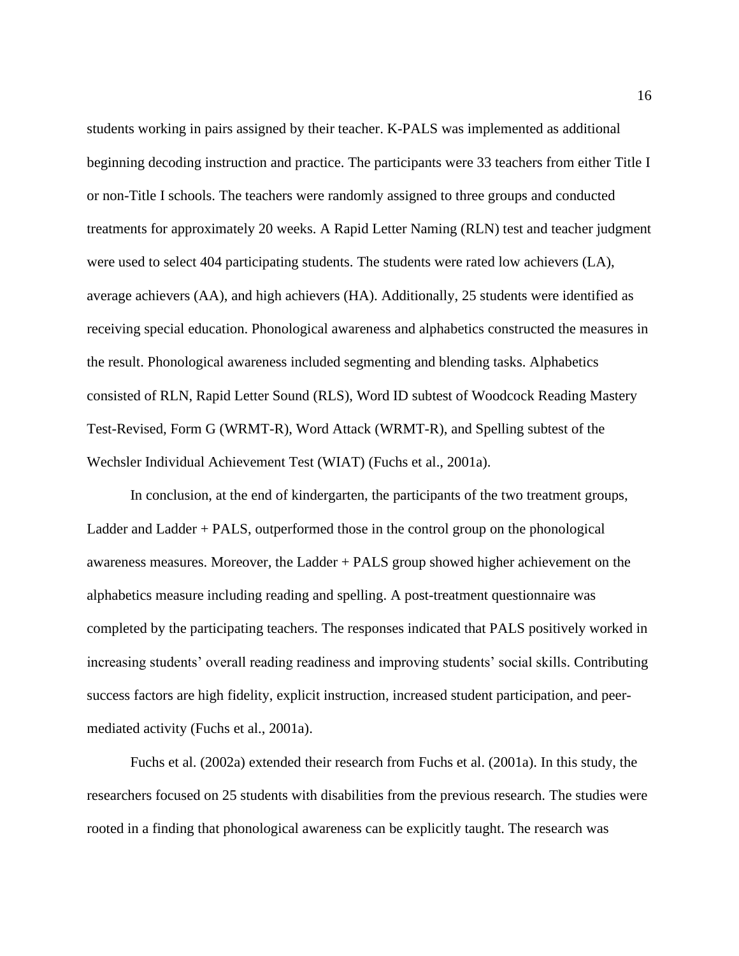students working in pairs assigned by their teacher. K-PALS was implemented as additional beginning decoding instruction and practice. The participants were 33 teachers from either Title I or non-Title I schools. The teachers were randomly assigned to three groups and conducted treatments for approximately 20 weeks. A Rapid Letter Naming (RLN) test and teacher judgment were used to select 404 participating students. The students were rated low achievers (LA), average achievers (AA), and high achievers (HA). Additionally, 25 students were identified as receiving special education. Phonological awareness and alphabetics constructed the measures in the result. Phonological awareness included segmenting and blending tasks. Alphabetics consisted of RLN, Rapid Letter Sound (RLS), Word ID subtest of Woodcock Reading Mastery Test-Revised, Form G (WRMT-R), Word Attack (WRMT-R), and Spelling subtest of the Wechsler Individual Achievement Test (WIAT) (Fuchs et al., 2001a).

In conclusion, at the end of kindergarten, the participants of the two treatment groups, Ladder and Ladder + PALS, outperformed those in the control group on the phonological awareness measures. Moreover, the Ladder + PALS group showed higher achievement on the alphabetics measure including reading and spelling. A post-treatment questionnaire was completed by the participating teachers. The responses indicated that PALS positively worked in increasing students' overall reading readiness and improving students' social skills. Contributing success factors are high fidelity, explicit instruction, increased student participation, and peermediated activity (Fuchs et al., 2001a).

Fuchs et al. (2002a) extended their research from Fuchs et al. (2001a). In this study, the researchers focused on 25 students with disabilities from the previous research. The studies were rooted in a finding that phonological awareness can be explicitly taught. The research was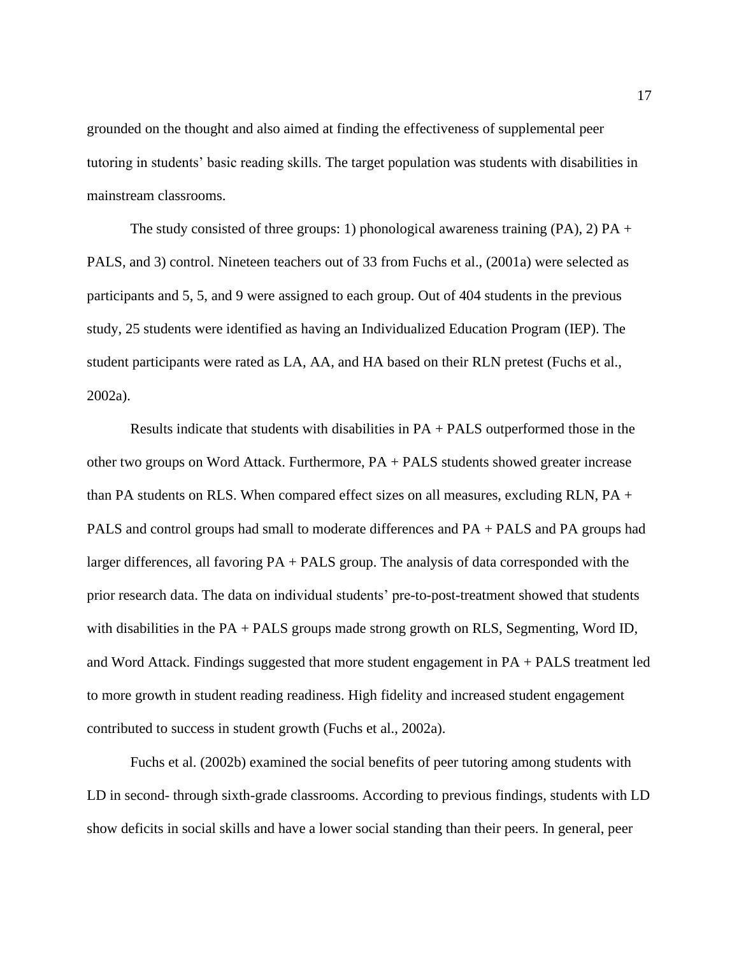grounded on the thought and also aimed at finding the effectiveness of supplemental peer tutoring in students' basic reading skills. The target population was students with disabilities in mainstream classrooms.

The study consisted of three groups: 1) phonological awareness training  $(PA)$ , 2)  $PA +$ PALS, and 3) control. Nineteen teachers out of 33 from Fuchs et al., (2001a) were selected as participants and 5, 5, and 9 were assigned to each group. Out of 404 students in the previous study, 25 students were identified as having an Individualized Education Program (IEP). The student participants were rated as LA, AA, and HA based on their RLN pretest (Fuchs et al., 2002a).

Results indicate that students with disabilities in PA + PALS outperformed those in the other two groups on Word Attack. Furthermore, PA + PALS students showed greater increase than PA students on RLS. When compared effect sizes on all measures, excluding RLN, PA + PALS and control groups had small to moderate differences and PA + PALS and PA groups had larger differences, all favoring PA + PALS group. The analysis of data corresponded with the prior research data. The data on individual students' pre-to-post-treatment showed that students with disabilities in the PA + PALS groups made strong growth on RLS, Segmenting, Word ID, and Word Attack. Findings suggested that more student engagement in PA + PALS treatment led to more growth in student reading readiness. High fidelity and increased student engagement contributed to success in student growth (Fuchs et al., 2002a).

Fuchs et al. (2002b) examined the social benefits of peer tutoring among students with LD in second- through sixth-grade classrooms. According to previous findings, students with LD show deficits in social skills and have a lower social standing than their peers. In general, peer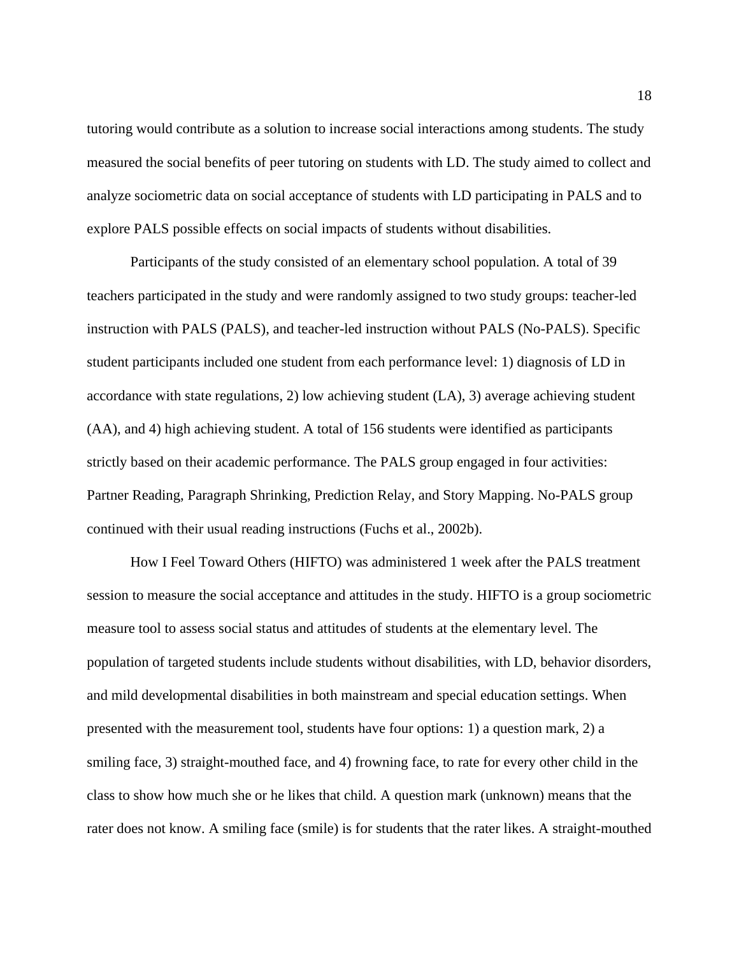tutoring would contribute as a solution to increase social interactions among students. The study measured the social benefits of peer tutoring on students with LD. The study aimed to collect and analyze sociometric data on social acceptance of students with LD participating in PALS and to explore PALS possible effects on social impacts of students without disabilities.

Participants of the study consisted of an elementary school population. A total of 39 teachers participated in the study and were randomly assigned to two study groups: teacher-led instruction with PALS (PALS), and teacher-led instruction without PALS (No-PALS). Specific student participants included one student from each performance level: 1) diagnosis of LD in accordance with state regulations, 2) low achieving student (LA), 3) average achieving student (AA), and 4) high achieving student. A total of 156 students were identified as participants strictly based on their academic performance. The PALS group engaged in four activities: Partner Reading, Paragraph Shrinking, Prediction Relay, and Story Mapping. No-PALS group continued with their usual reading instructions (Fuchs et al., 2002b).

How I Feel Toward Others (HIFTO) was administered 1 week after the PALS treatment session to measure the social acceptance and attitudes in the study. HIFTO is a group sociometric measure tool to assess social status and attitudes of students at the elementary level. The population of targeted students include students without disabilities, with LD, behavior disorders, and mild developmental disabilities in both mainstream and special education settings. When presented with the measurement tool, students have four options: 1) a question mark, 2) a smiling face, 3) straight-mouthed face, and 4) frowning face, to rate for every other child in the class to show how much she or he likes that child. A question mark (unknown) means that the rater does not know. A smiling face (smile) is for students that the rater likes. A straight-mouthed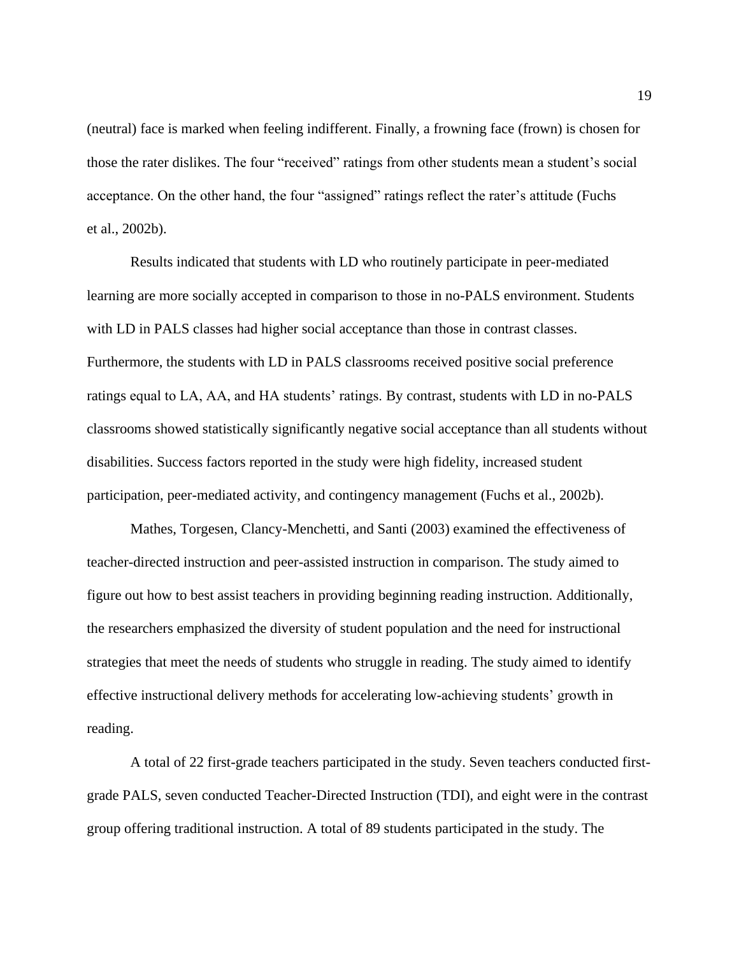(neutral) face is marked when feeling indifferent. Finally, a frowning face (frown) is chosen for those the rater dislikes. The four "received" ratings from other students mean a student's social acceptance. On the other hand, the four "assigned" ratings reflect the rater's attitude (Fuchs et al., 2002b).

Results indicated that students with LD who routinely participate in peer-mediated learning are more socially accepted in comparison to those in no-PALS environment. Students with LD in PALS classes had higher social acceptance than those in contrast classes. Furthermore, the students with LD in PALS classrooms received positive social preference ratings equal to LA, AA, and HA students' ratings. By contrast, students with LD in no-PALS classrooms showed statistically significantly negative social acceptance than all students without disabilities. Success factors reported in the study were high fidelity, increased student participation, peer-mediated activity, and contingency management (Fuchs et al., 2002b).

Mathes, Torgesen, Clancy-Menchetti, and Santi (2003) examined the effectiveness of teacher-directed instruction and peer-assisted instruction in comparison. The study aimed to figure out how to best assist teachers in providing beginning reading instruction. Additionally, the researchers emphasized the diversity of student population and the need for instructional strategies that meet the needs of students who struggle in reading. The study aimed to identify effective instructional delivery methods for accelerating low-achieving students' growth in reading.

A total of 22 first-grade teachers participated in the study. Seven teachers conducted firstgrade PALS, seven conducted Teacher-Directed Instruction (TDI), and eight were in the contrast group offering traditional instruction. A total of 89 students participated in the study. The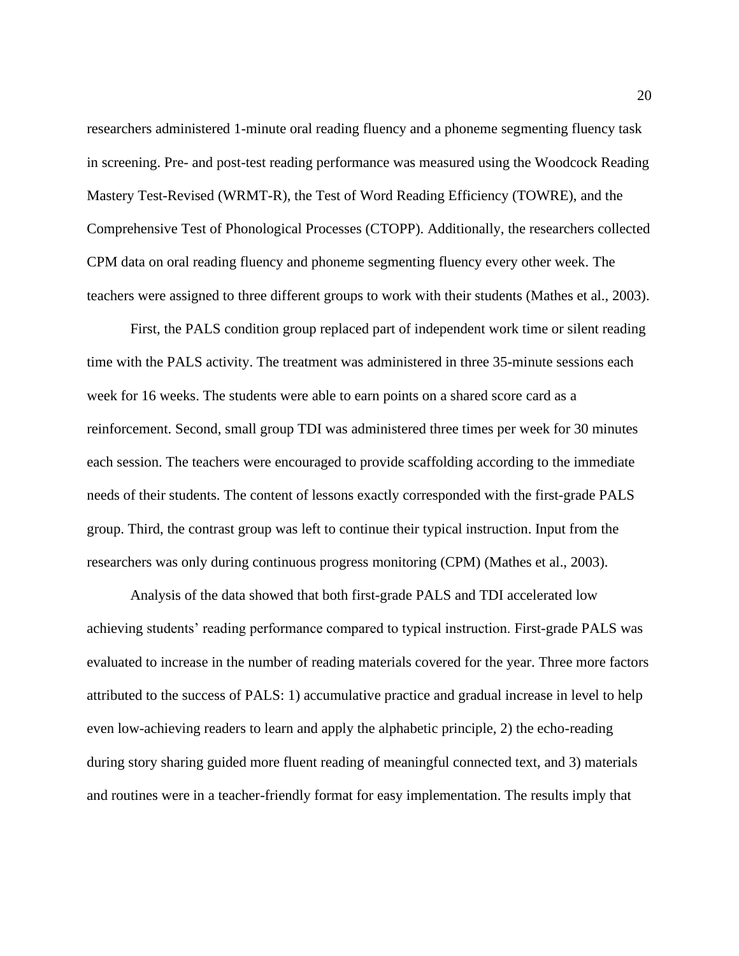researchers administered 1-minute oral reading fluency and a phoneme segmenting fluency task in screening. Pre- and post-test reading performance was measured using the Woodcock Reading Mastery Test-Revised (WRMT-R), the Test of Word Reading Efficiency (TOWRE), and the Comprehensive Test of Phonological Processes (CTOPP). Additionally, the researchers collected CPM data on oral reading fluency and phoneme segmenting fluency every other week. The teachers were assigned to three different groups to work with their students (Mathes et al., 2003).

First, the PALS condition group replaced part of independent work time or silent reading time with the PALS activity. The treatment was administered in three 35-minute sessions each week for 16 weeks. The students were able to earn points on a shared score card as a reinforcement. Second, small group TDI was administered three times per week for 30 minutes each session. The teachers were encouraged to provide scaffolding according to the immediate needs of their students. The content of lessons exactly corresponded with the first-grade PALS group. Third, the contrast group was left to continue their typical instruction. Input from the researchers was only during continuous progress monitoring (CPM) (Mathes et al., 2003).

Analysis of the data showed that both first-grade PALS and TDI accelerated low achieving students' reading performance compared to typical instruction. First-grade PALS was evaluated to increase in the number of reading materials covered for the year. Three more factors attributed to the success of PALS: 1) accumulative practice and gradual increase in level to help even low-achieving readers to learn and apply the alphabetic principle, 2) the echo-reading during story sharing guided more fluent reading of meaningful connected text, and 3) materials and routines were in a teacher-friendly format for easy implementation. The results imply that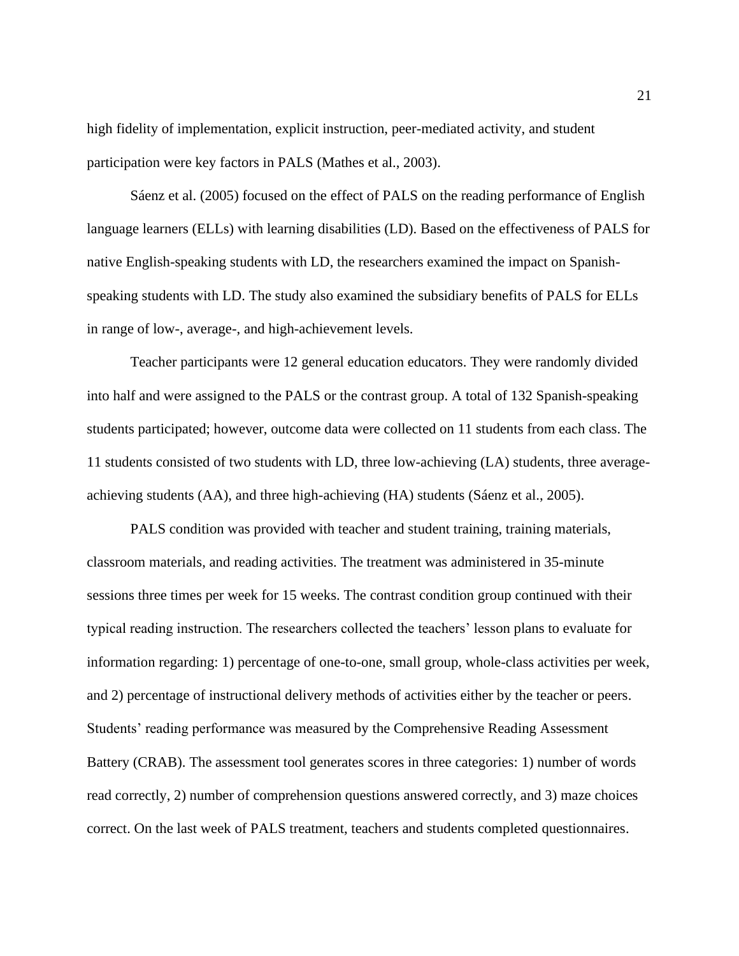high fidelity of implementation, explicit instruction, peer-mediated activity, and student participation were key factors in PALS (Mathes et al., 2003).

Sáenz et al. (2005) focused on the effect of PALS on the reading performance of English language learners (ELLs) with learning disabilities (LD). Based on the effectiveness of PALS for native English-speaking students with LD, the researchers examined the impact on Spanishspeaking students with LD. The study also examined the subsidiary benefits of PALS for ELLs in range of low-, average-, and high-achievement levels.

Teacher participants were 12 general education educators. They were randomly divided into half and were assigned to the PALS or the contrast group. A total of 132 Spanish-speaking students participated; however, outcome data were collected on 11 students from each class. The 11 students consisted of two students with LD, three low-achieving (LA) students, three averageachieving students (AA), and three high-achieving (HA) students (Sáenz et al., 2005).

PALS condition was provided with teacher and student training, training materials, classroom materials, and reading activities. The treatment was administered in 35-minute sessions three times per week for 15 weeks. The contrast condition group continued with their typical reading instruction. The researchers collected the teachers' lesson plans to evaluate for information regarding: 1) percentage of one-to-one, small group, whole-class activities per week, and 2) percentage of instructional delivery methods of activities either by the teacher or peers. Students' reading performance was measured by the Comprehensive Reading Assessment Battery (CRAB). The assessment tool generates scores in three categories: 1) number of words read correctly, 2) number of comprehension questions answered correctly, and 3) maze choices correct. On the last week of PALS treatment, teachers and students completed questionnaires.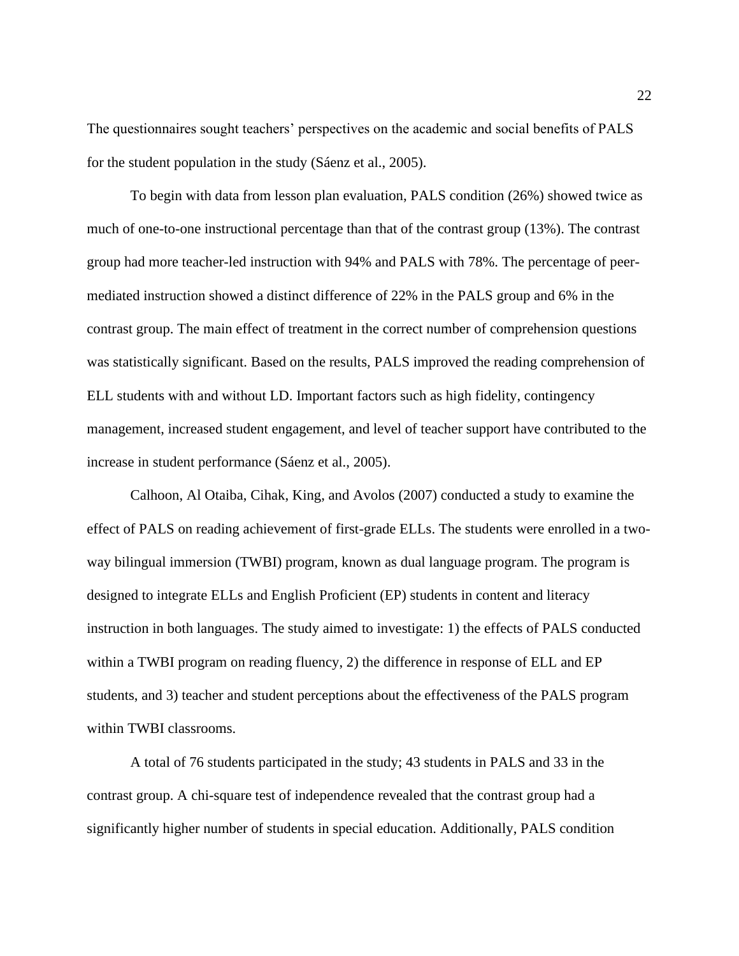The questionnaires sought teachers' perspectives on the academic and social benefits of PALS for the student population in the study (Sáenz et al., 2005).

To begin with data from lesson plan evaluation, PALS condition (26%) showed twice as much of one-to-one instructional percentage than that of the contrast group (13%). The contrast group had more teacher-led instruction with 94% and PALS with 78%. The percentage of peermediated instruction showed a distinct difference of 22% in the PALS group and 6% in the contrast group. The main effect of treatment in the correct number of comprehension questions was statistically significant. Based on the results, PALS improved the reading comprehension of ELL students with and without LD. Important factors such as high fidelity, contingency management, increased student engagement, and level of teacher support have contributed to the increase in student performance (Sáenz et al., 2005).

Calhoon, Al Otaiba, Cihak, King, and Avolos (2007) conducted a study to examine the effect of PALS on reading achievement of first-grade ELLs. The students were enrolled in a twoway bilingual immersion (TWBI) program, known as dual language program. The program is designed to integrate ELLs and English Proficient (EP) students in content and literacy instruction in both languages. The study aimed to investigate: 1) the effects of PALS conducted within a TWBI program on reading fluency, 2) the difference in response of ELL and EP students, and 3) teacher and student perceptions about the effectiveness of the PALS program within TWBI classrooms.

A total of 76 students participated in the study; 43 students in PALS and 33 in the contrast group. A chi-square test of independence revealed that the contrast group had a significantly higher number of students in special education. Additionally, PALS condition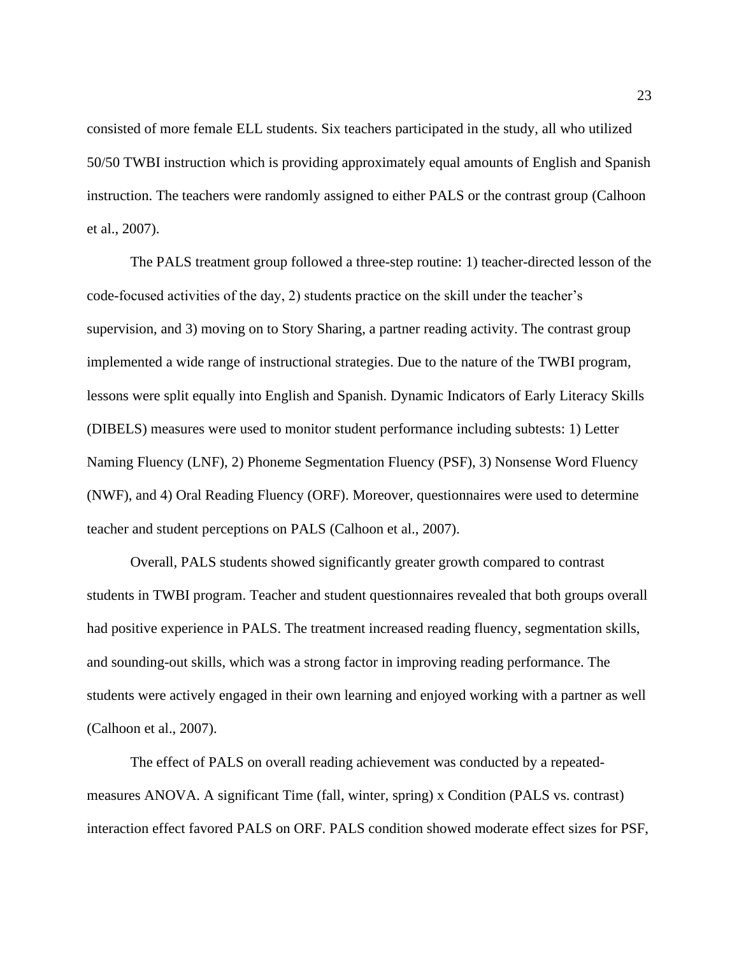consisted of more female ELL students. Six teachers participated in the study, all who utilized 50/50 TWBI instruction which is providing approximately equal amounts of English and Spanish instruction. The teachers were randomly assigned to either PALS or the contrast group (Calhoon et al., 2007).

The PALS treatment group followed a three-step routine: 1) teacher-directed lesson of the code-focused activities of the day, 2) students practice on the skill under the teacher's supervision, and 3) moving on to Story Sharing, a partner reading activity. The contrast group implemented a wide range of instructional strategies. Due to the nature of the TWBI program, lessons were split equally into English and Spanish. Dynamic Indicators of Early Literacy Skills (DIBELS) measures were used to monitor student performance including subtests: 1) Letter Naming Fluency (LNF), 2) Phoneme Segmentation Fluency (PSF), 3) Nonsense Word Fluency (NWF), and 4) Oral Reading Fluency (ORF). Moreover, questionnaires were used to determine teacher and student perceptions on PALS (Calhoon et al., 2007).

Overall, PALS students showed significantly greater growth compared to contrast students in TWBI program. Teacher and student questionnaires revealed that both groups overall had positive experience in PALS. The treatment increased reading fluency, segmentation skills, and sounding-out skills, which was a strong factor in improving reading performance. The students were actively engaged in their own learning and enjoyed working with a partner as well (Calhoon et al., 2007).

The effect of PALS on overall reading achievement was conducted by a repeatedmeasures ANOVA. A significant Time (fall, winter, spring) x Condition (PALS vs. contrast) interaction effect favored PALS on ORF. PALS condition showed moderate effect sizes for PSF,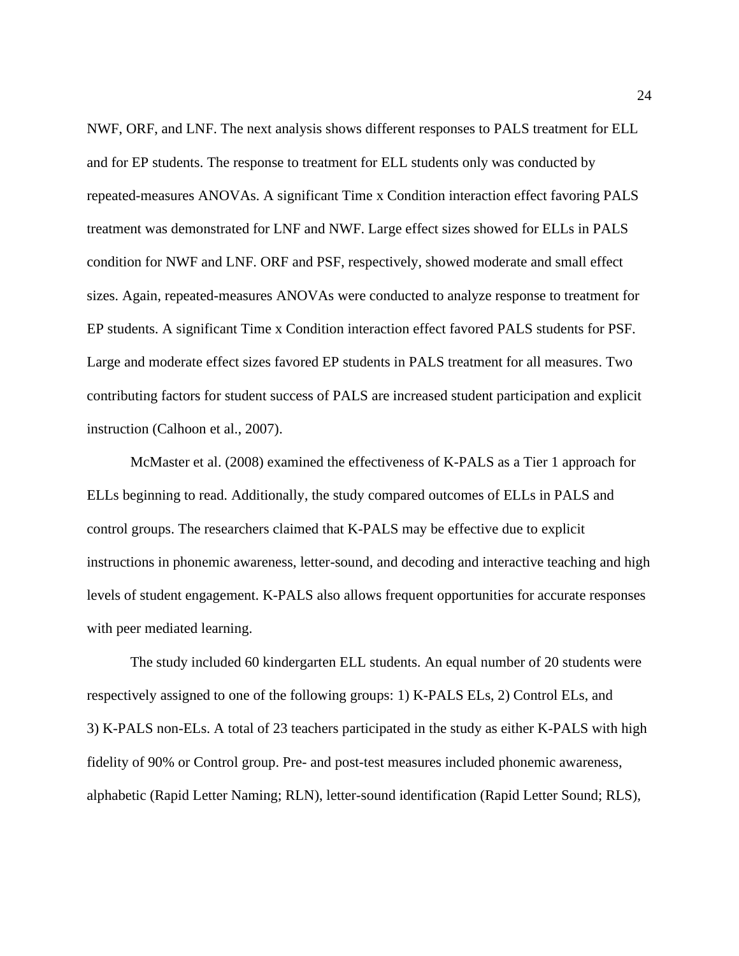NWF, ORF, and LNF. The next analysis shows different responses to PALS treatment for ELL and for EP students. The response to treatment for ELL students only was conducted by repeated-measures ANOVAs. A significant Time x Condition interaction effect favoring PALS treatment was demonstrated for LNF and NWF. Large effect sizes showed for ELLs in PALS condition for NWF and LNF. ORF and PSF, respectively, showed moderate and small effect sizes. Again, repeated-measures ANOVAs were conducted to analyze response to treatment for EP students. A significant Time x Condition interaction effect favored PALS students for PSF. Large and moderate effect sizes favored EP students in PALS treatment for all measures. Two contributing factors for student success of PALS are increased student participation and explicit instruction (Calhoon et al., 2007).

McMaster et al. (2008) examined the effectiveness of K-PALS as a Tier 1 approach for ELLs beginning to read. Additionally, the study compared outcomes of ELLs in PALS and control groups. The researchers claimed that K-PALS may be effective due to explicit instructions in phonemic awareness, letter-sound, and decoding and interactive teaching and high levels of student engagement. K-PALS also allows frequent opportunities for accurate responses with peer mediated learning.

The study included 60 kindergarten ELL students. An equal number of 20 students were respectively assigned to one of the following groups: 1) K-PALS ELs, 2) Control ELs, and 3) K-PALS non-ELs. A total of 23 teachers participated in the study as either K-PALS with high fidelity of 90% or Control group. Pre- and post-test measures included phonemic awareness, alphabetic (Rapid Letter Naming; RLN), letter-sound identification (Rapid Letter Sound; RLS),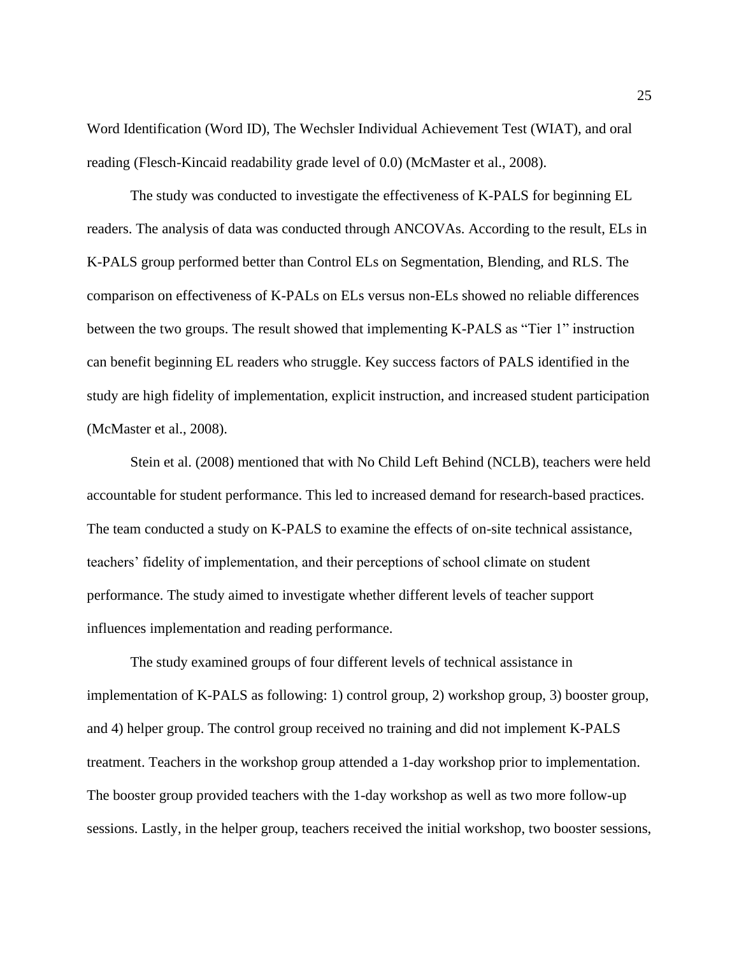Word Identification (Word ID), The Wechsler Individual Achievement Test (WIAT), and oral reading (Flesch-Kincaid readability grade level of 0.0) (McMaster et al., 2008).

The study was conducted to investigate the effectiveness of K-PALS for beginning EL readers. The analysis of data was conducted through ANCOVAs. According to the result, ELs in K-PALS group performed better than Control ELs on Segmentation, Blending, and RLS. The comparison on effectiveness of K-PALs on ELs versus non-ELs showed no reliable differences between the two groups. The result showed that implementing K-PALS as "Tier 1" instruction can benefit beginning EL readers who struggle. Key success factors of PALS identified in the study are high fidelity of implementation, explicit instruction, and increased student participation (McMaster et al., 2008).

Stein et al. (2008) mentioned that with No Child Left Behind (NCLB), teachers were held accountable for student performance. This led to increased demand for research-based practices. The team conducted a study on K-PALS to examine the effects of on-site technical assistance, teachers' fidelity of implementation, and their perceptions of school climate on student performance. The study aimed to investigate whether different levels of teacher support influences implementation and reading performance.

The study examined groups of four different levels of technical assistance in implementation of K-PALS as following: 1) control group, 2) workshop group, 3) booster group, and 4) helper group. The control group received no training and did not implement K-PALS treatment. Teachers in the workshop group attended a 1-day workshop prior to implementation. The booster group provided teachers with the 1-day workshop as well as two more follow-up sessions. Lastly, in the helper group, teachers received the initial workshop, two booster sessions,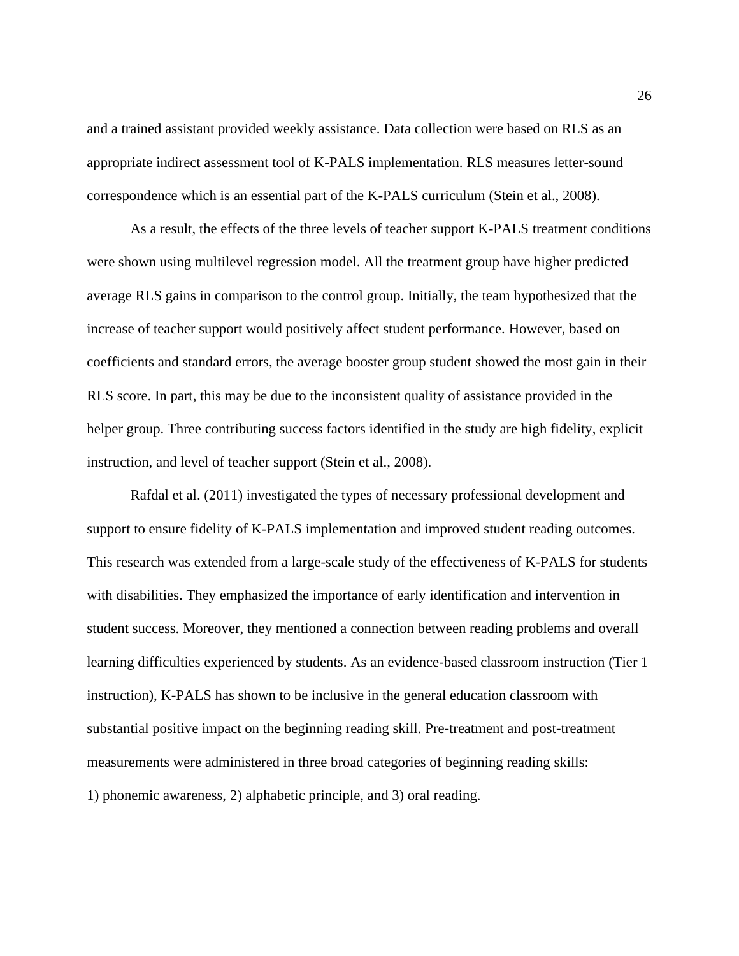and a trained assistant provided weekly assistance. Data collection were based on RLS as an appropriate indirect assessment tool of K-PALS implementation. RLS measures letter-sound correspondence which is an essential part of the K-PALS curriculum (Stein et al., 2008).

As a result, the effects of the three levels of teacher support K-PALS treatment conditions were shown using multilevel regression model. All the treatment group have higher predicted average RLS gains in comparison to the control group. Initially, the team hypothesized that the increase of teacher support would positively affect student performance. However, based on coefficients and standard errors, the average booster group student showed the most gain in their RLS score. In part, this may be due to the inconsistent quality of assistance provided in the helper group. Three contributing success factors identified in the study are high fidelity, explicit instruction, and level of teacher support (Stein et al., 2008).

Rafdal et al. (2011) investigated the types of necessary professional development and support to ensure fidelity of K-PALS implementation and improved student reading outcomes. This research was extended from a large-scale study of the effectiveness of K-PALS for students with disabilities. They emphasized the importance of early identification and intervention in student success. Moreover, they mentioned a connection between reading problems and overall learning difficulties experienced by students. As an evidence-based classroom instruction (Tier 1 instruction), K-PALS has shown to be inclusive in the general education classroom with substantial positive impact on the beginning reading skill. Pre-treatment and post-treatment measurements were administered in three broad categories of beginning reading skills: 1) phonemic awareness, 2) alphabetic principle, and 3) oral reading.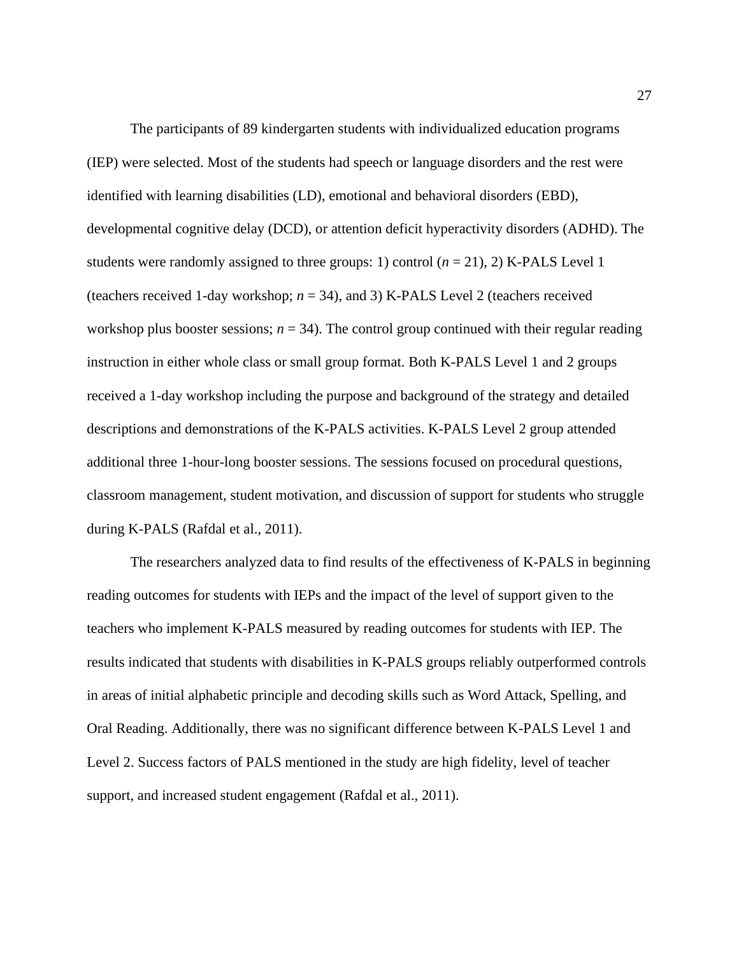The participants of 89 kindergarten students with individualized education programs (IEP) were selected. Most of the students had speech or language disorders and the rest were identified with learning disabilities (LD), emotional and behavioral disorders (EBD), developmental cognitive delay (DCD), or attention deficit hyperactivity disorders (ADHD). The students were randomly assigned to three groups: 1) control  $(n = 21)$ , 2) K-PALS Level 1 (teachers received 1-day workshop;  $n = 34$ ), and 3) K-PALS Level 2 (teachers received workshop plus booster sessions;  $n = 34$ ). The control group continued with their regular reading instruction in either whole class or small group format. Both K-PALS Level 1 and 2 groups received a 1-day workshop including the purpose and background of the strategy and detailed descriptions and demonstrations of the K-PALS activities. K-PALS Level 2 group attended additional three 1-hour-long booster sessions. The sessions focused on procedural questions, classroom management, student motivation, and discussion of support for students who struggle during K-PALS (Rafdal et al., 2011).

The researchers analyzed data to find results of the effectiveness of K-PALS in beginning reading outcomes for students with IEPs and the impact of the level of support given to the teachers who implement K-PALS measured by reading outcomes for students with IEP. The results indicated that students with disabilities in K-PALS groups reliably outperformed controls in areas of initial alphabetic principle and decoding skills such as Word Attack, Spelling, and Oral Reading. Additionally, there was no significant difference between K-PALS Level 1 and Level 2. Success factors of PALS mentioned in the study are high fidelity, level of teacher support, and increased student engagement (Rafdal et al., 2011).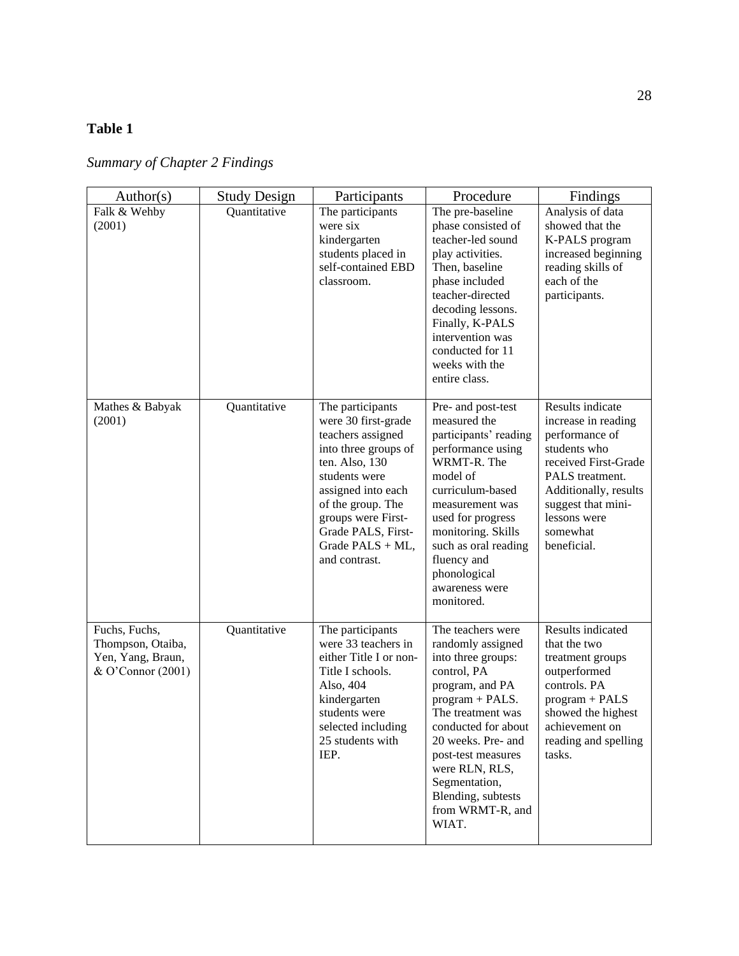### **Table 1**

*Summary of Chapter 2 Findings*

| Author(s)                                                                    | <b>Study Design</b> | Participants                                                                                                                                                                                                                                        | Procedure                                                                                                                                                                                                                                                                                       | Findings                                                                                                                                                                                                       |
|------------------------------------------------------------------------------|---------------------|-----------------------------------------------------------------------------------------------------------------------------------------------------------------------------------------------------------------------------------------------------|-------------------------------------------------------------------------------------------------------------------------------------------------------------------------------------------------------------------------------------------------------------------------------------------------|----------------------------------------------------------------------------------------------------------------------------------------------------------------------------------------------------------------|
| Falk & Wehby<br>(2001)                                                       | Quantitative        | The participants<br>were six<br>kindergarten<br>students placed in<br>self-contained EBD<br>classroom.                                                                                                                                              | The pre-baseline<br>phase consisted of<br>teacher-led sound<br>play activities.<br>Then, baseline<br>phase included<br>teacher-directed<br>decoding lessons.<br>Finally, K-PALS<br>intervention was<br>conducted for 11<br>weeks with the<br>entire class.                                      | Analysis of data<br>showed that the<br>K-PALS program<br>increased beginning<br>reading skills of<br>each of the<br>participants.                                                                              |
| Mathes & Babyak<br>(2001)                                                    | Quantitative        | The participants<br>were 30 first-grade<br>teachers assigned<br>into three groups of<br>ten. Also, 130<br>students were<br>assigned into each<br>of the group. The<br>groups were First-<br>Grade PALS, First-<br>Grade PALS + ML,<br>and contrast. | Pre- and post-test<br>measured the<br>participants' reading<br>performance using<br>WRMT-R. The<br>model of<br>curriculum-based<br>measurement was<br>used for progress<br>monitoring. Skills<br>such as oral reading<br>fluency and<br>phonological<br>awareness were<br>monitored.            | Results indicate<br>increase in reading<br>performance of<br>students who<br>received First-Grade<br>PALS treatment.<br>Additionally, results<br>suggest that mini-<br>lessons were<br>somewhat<br>beneficial. |
| Fuchs, Fuchs,<br>Thompson, Otaiba,<br>Yen, Yang, Braun,<br>& O'Connor (2001) | Quantitative        | The participants<br>were 33 teachers in<br>either Title I or non-<br>Title I schools.<br>Also, 404<br>kindergarten<br>students were<br>selected including<br>25 students with<br>IEP.                                                               | The teachers were<br>randomly assigned<br>into three groups:<br>control, PA<br>program, and PA<br>program + PALS.<br>The treatment was<br>conducted for about<br>20 weeks. Pre- and<br>post-test measures<br>were RLN, RLS,<br>Segmentation,<br>Blending, subtests<br>from WRMT-R, and<br>WIAT. | Results indicated<br>that the two<br>treatment groups<br>outperformed<br>controls. PA<br>$program + PALS$<br>showed the highest<br>achievement on<br>reading and spelling<br>tasks.                            |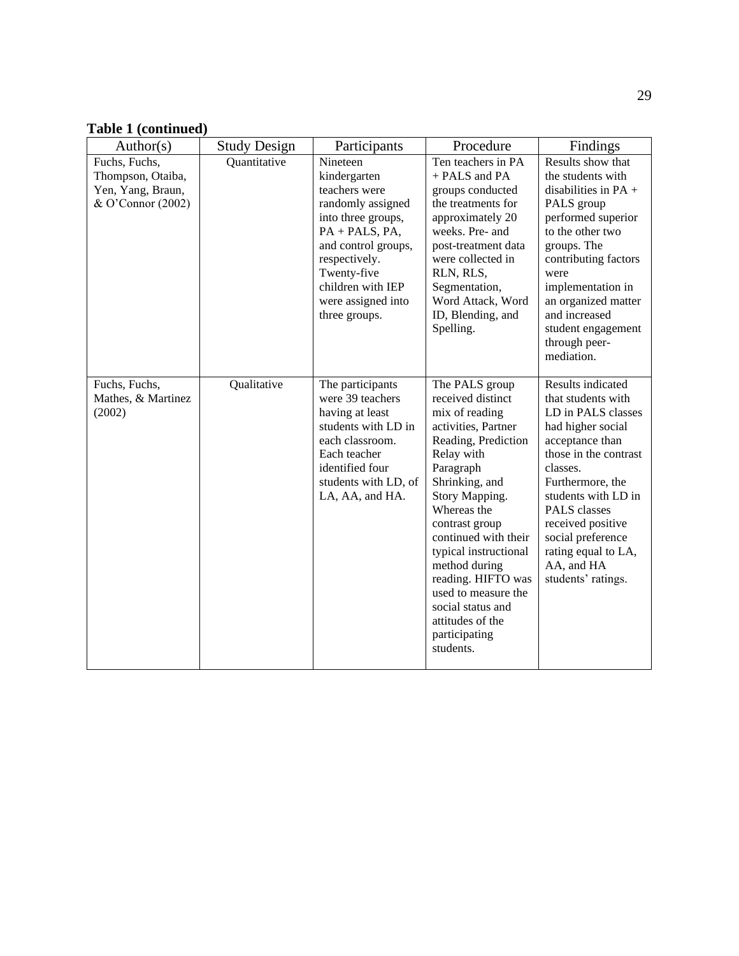### **Table 1 (continued)**

| Author(s)                                                                    | <b>Study Design</b> | Participants                                                                                                                                                                                                              | Procedure                                                                                                                                                                                                                                                                                                                                                                                 | Findings                                                                                                                                                                                                                                                                                                   |
|------------------------------------------------------------------------------|---------------------|---------------------------------------------------------------------------------------------------------------------------------------------------------------------------------------------------------------------------|-------------------------------------------------------------------------------------------------------------------------------------------------------------------------------------------------------------------------------------------------------------------------------------------------------------------------------------------------------------------------------------------|------------------------------------------------------------------------------------------------------------------------------------------------------------------------------------------------------------------------------------------------------------------------------------------------------------|
| Fuchs, Fuchs,<br>Thompson, Otaiba,<br>Yen, Yang, Braun,<br>& O'Connor (2002) | Quantitative        | Nineteen<br>kindergarten<br>teachers were<br>randomly assigned<br>into three groups,<br>PA + PALS, PA,<br>and control groups,<br>respectively.<br>Twenty-five<br>children with IEP<br>were assigned into<br>three groups. | Ten teachers in PA<br>+ PALS and PA<br>groups conducted<br>the treatments for<br>approximately 20<br>weeks. Pre- and<br>post-treatment data<br>were collected in<br>RLN, RLS,<br>Segmentation,<br>Word Attack, Word<br>ID, Blending, and<br>Spelling.                                                                                                                                     | Results show that<br>the students with<br>disabilities in $PA +$<br>PALS group<br>performed superior<br>to the other two<br>groups. The<br>contributing factors<br>were<br>implementation in<br>an organized matter<br>and increased<br>student engagement<br>through peer-<br>mediation.                  |
| Fuchs, Fuchs,<br>Mathes, & Martinez<br>(2002)                                | Qualitative         | The participants<br>were 39 teachers<br>having at least<br>students with LD in<br>each classroom.<br>Each teacher<br>identified four<br>students with LD, of<br>LA, AA, and HA.                                           | The PALS group<br>received distinct<br>mix of reading<br>activities, Partner<br>Reading, Prediction<br>Relay with<br>Paragraph<br>Shrinking, and<br>Story Mapping.<br>Whereas the<br>contrast group<br>continued with their<br>typical instructional<br>method during<br>reading. HIFTO was<br>used to measure the<br>social status and<br>attitudes of the<br>participating<br>students. | Results indicated<br>that students with<br>LD in PALS classes<br>had higher social<br>acceptance than<br>those in the contrast<br>classes.<br>Furthermore, the<br>students with LD in<br>PALS classes<br>received positive<br>social preference<br>rating equal to LA,<br>AA, and HA<br>students' ratings. |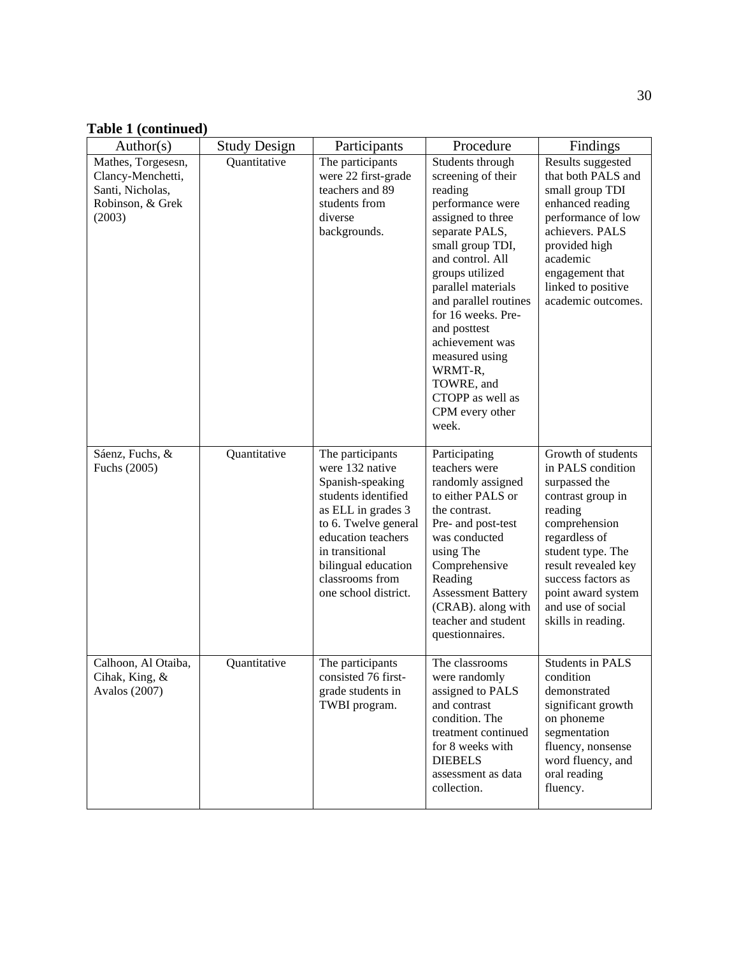### **Table 1 (continued)**

| Author(s)                                                                                 | <b>Study Design</b> | Participants                                                                                                                                                                                                                            | Procedure                                                                                                                                                                                                                                                                                                                                                                  | Findings                                                                                                                                                                                                                                                      |
|-------------------------------------------------------------------------------------------|---------------------|-----------------------------------------------------------------------------------------------------------------------------------------------------------------------------------------------------------------------------------------|----------------------------------------------------------------------------------------------------------------------------------------------------------------------------------------------------------------------------------------------------------------------------------------------------------------------------------------------------------------------------|---------------------------------------------------------------------------------------------------------------------------------------------------------------------------------------------------------------------------------------------------------------|
| Mathes, Torgesesn,<br>Clancy-Menchetti,<br>Santi, Nicholas,<br>Robinson, & Grek<br>(2003) | Quantitative        | The participants<br>were 22 first-grade<br>teachers and 89<br>students from<br>diverse<br>backgrounds.                                                                                                                                  | Students through<br>screening of their<br>reading<br>performance were<br>assigned to three<br>separate PALS,<br>small group TDI,<br>and control. All<br>groups utilized<br>parallel materials<br>and parallel routines<br>for 16 weeks. Pre-<br>and posttest<br>achievement was<br>measured using<br>WRMT-R,<br>TOWRE, and<br>CTOPP as well as<br>CPM every other<br>week. | Results suggested<br>that both PALS and<br>small group TDI<br>enhanced reading<br>performance of low<br>achievers. PALS<br>provided high<br>academic<br>engagement that<br>linked to positive<br>academic outcomes.                                           |
| Sáenz, Fuchs, &<br>Fuchs (2005)                                                           | Quantitative        | The participants<br>were 132 native<br>Spanish-speaking<br>students identified<br>as ELL in grades 3<br>to 6. Twelve general<br>education teachers<br>in transitional<br>bilingual education<br>classrooms from<br>one school district. | Participating<br>teachers were<br>randomly assigned<br>to either PALS or<br>the contrast.<br>Pre- and post-test<br>was conducted<br>using The<br>Comprehensive<br>Reading<br><b>Assessment Battery</b><br>(CRAB). along with<br>teacher and student<br>questionnaires.                                                                                                     | Growth of students<br>in PALS condition<br>surpassed the<br>contrast group in<br>reading<br>comprehension<br>regardless of<br>student type. The<br>result revealed key<br>success factors as<br>point award system<br>and use of social<br>skills in reading. |
| Calhoon, Al Otaiba,<br>Cihak, King, &<br>Avalos (2007)                                    | Quantitative        | The participants<br>consisted 76 first-<br>grade students in<br>TWBI program.                                                                                                                                                           | The classrooms<br>were randomly<br>assigned to PALS<br>and contrast<br>condition. The<br>treatment continued<br>for 8 weeks with<br><b>DIEBELS</b><br>assessment as data<br>collection.                                                                                                                                                                                    | <b>Students in PALS</b><br>condition<br>demonstrated<br>significant growth<br>on phoneme<br>segmentation<br>fluency, nonsense<br>word fluency, and<br>oral reading<br>fluency.                                                                                |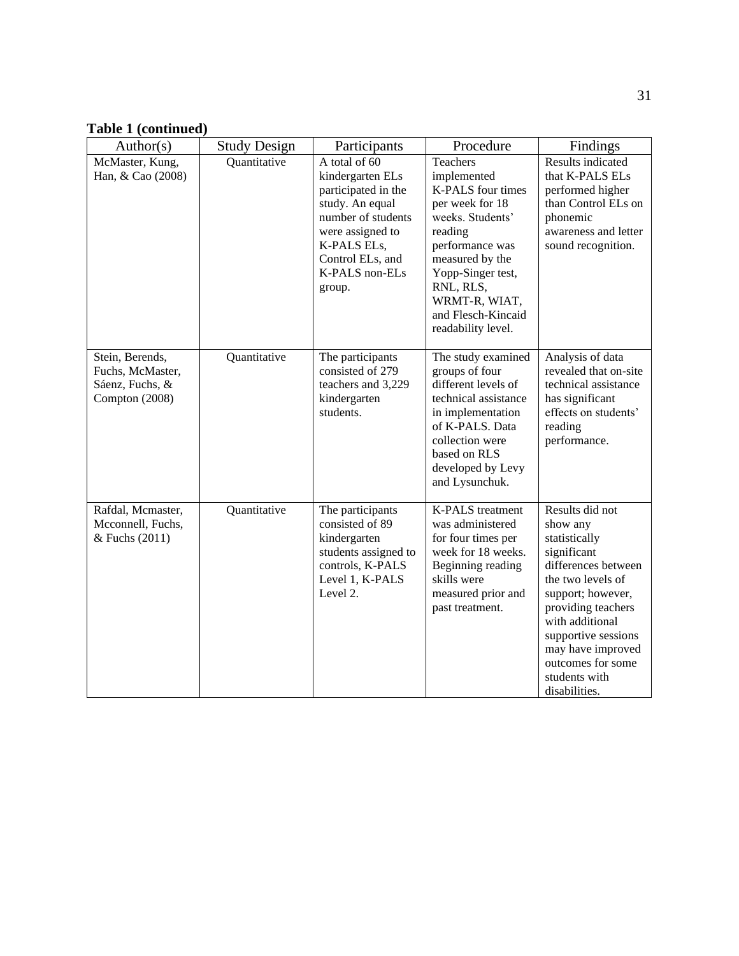### **Table 1 (continued)**

| Author(s)                                                                | <b>Study Design</b> | Participants                                                                                                                                                                                | Procedure                                                                                                                                                                                                                                  | Findings                                                                                                                                                                                                                                                                 |
|--------------------------------------------------------------------------|---------------------|---------------------------------------------------------------------------------------------------------------------------------------------------------------------------------------------|--------------------------------------------------------------------------------------------------------------------------------------------------------------------------------------------------------------------------------------------|--------------------------------------------------------------------------------------------------------------------------------------------------------------------------------------------------------------------------------------------------------------------------|
| McMaster, Kung,<br>Han, & Cao (2008)                                     | Quantitative        | A total of 60<br>kindergarten ELs<br>participated in the<br>study. An equal<br>number of students<br>were assigned to<br>K-PALS ELs,<br>Control ELs, and<br><b>K-PALS</b> non-ELs<br>group. | <b>Teachers</b><br>implemented<br>K-PALS four times<br>per week for 18<br>weeks. Students'<br>reading<br>performance was<br>measured by the<br>Yopp-Singer test,<br>RNL, RLS,<br>WRMT-R, WIAT,<br>and Flesch-Kincaid<br>readability level. | Results indicated<br>that K-PALS ELs<br>performed higher<br>than Control ELs on<br>phonemic<br>awareness and letter<br>sound recognition.                                                                                                                                |
| Stein, Berends,<br>Fuchs, McMaster,<br>Sáenz, Fuchs, &<br>Compton (2008) | Quantitative        | The participants<br>consisted of 279<br>teachers and 3,229<br>kindergarten<br>students.                                                                                                     | The study examined<br>groups of four<br>different levels of<br>technical assistance<br>in implementation<br>of K-PALS. Data<br>collection were<br>based on RLS<br>developed by Levy<br>and Lysunchuk.                                      | Analysis of data<br>revealed that on-site<br>technical assistance<br>has significant<br>effects on students'<br>reading<br>performance.                                                                                                                                  |
| Rafdal, Mcmaster,<br>Mcconnell, Fuchs,<br>& Fuchs (2011)                 | Quantitative        | The participants<br>consisted of 89<br>kindergarten<br>students assigned to<br>controls, K-PALS<br>Level 1, K-PALS<br>Level 2.                                                              | <b>K-PALS</b> treatment<br>was administered<br>for four times per<br>week for 18 weeks.<br>Beginning reading<br>skills were<br>measured prior and<br>past treatment.                                                                       | Results did not<br>show any<br>statistically<br>significant<br>differences between<br>the two levels of<br>support; however,<br>providing teachers<br>with additional<br>supportive sessions<br>may have improved<br>outcomes for some<br>students with<br>disabilities. |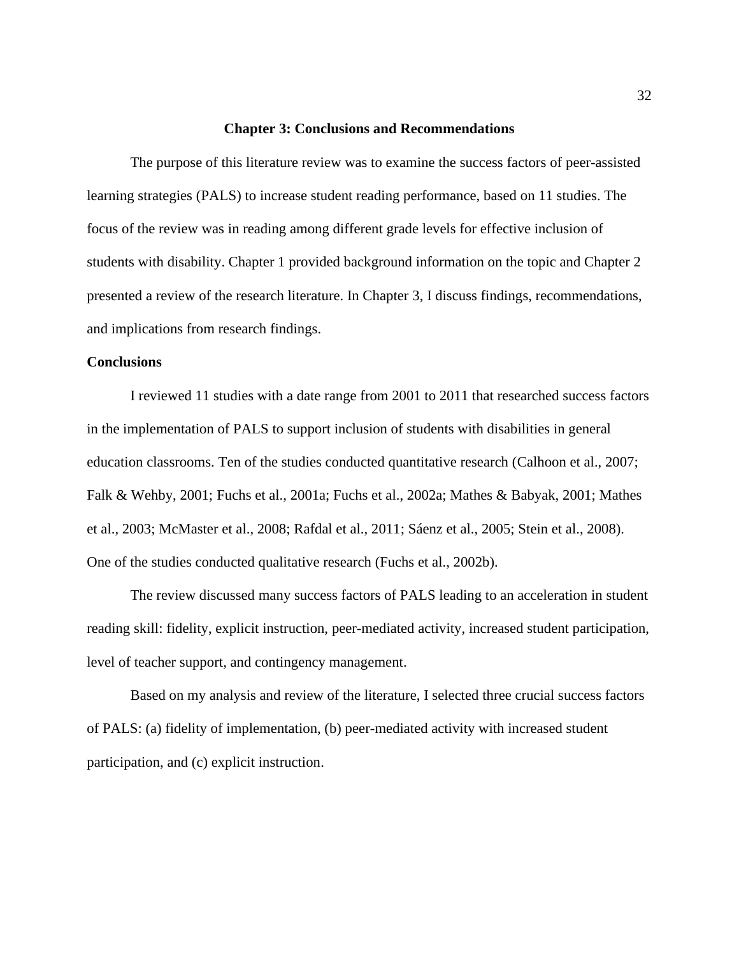#### **Chapter 3: Conclusions and Recommendations**

The purpose of this literature review was to examine the success factors of peer-assisted learning strategies (PALS) to increase student reading performance, based on 11 studies. The focus of the review was in reading among different grade levels for effective inclusion of students with disability. Chapter 1 provided background information on the topic and Chapter 2 presented a review of the research literature. In Chapter 3, I discuss findings, recommendations, and implications from research findings.

### **Conclusions**

I reviewed 11 studies with a date range from 2001 to 2011 that researched success factors in the implementation of PALS to support inclusion of students with disabilities in general education classrooms. Ten of the studies conducted quantitative research (Calhoon et al., 2007; Falk & Wehby, 2001; Fuchs et al., 2001a; Fuchs et al., 2002a; Mathes & Babyak, 2001; Mathes et al., 2003; McMaster et al., 2008; Rafdal et al., 2011; Sáenz et al., 2005; Stein et al., 2008). One of the studies conducted qualitative research (Fuchs et al., 2002b).

The review discussed many success factors of PALS leading to an acceleration in student reading skill: fidelity, explicit instruction, peer-mediated activity, increased student participation, level of teacher support, and contingency management.

Based on my analysis and review of the literature, I selected three crucial success factors of PALS: (a) fidelity of implementation, (b) peer-mediated activity with increased student participation, and (c) explicit instruction.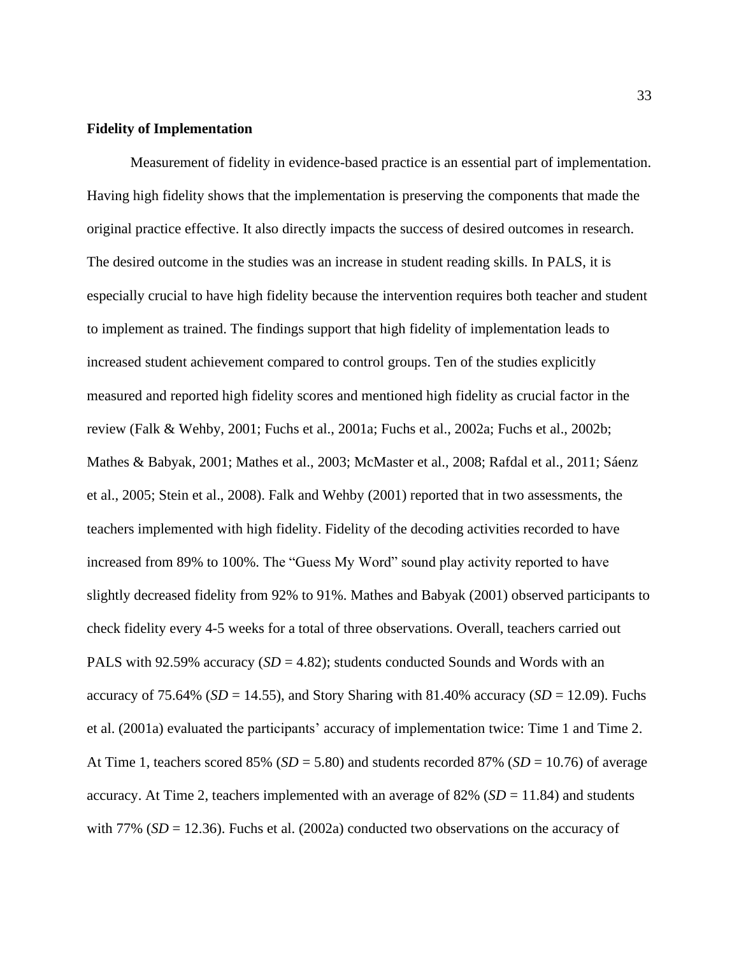### **Fidelity of Implementation**

Measurement of fidelity in evidence-based practice is an essential part of implementation. Having high fidelity shows that the implementation is preserving the components that made the original practice effective. It also directly impacts the success of desired outcomes in research. The desired outcome in the studies was an increase in student reading skills. In PALS, it is especially crucial to have high fidelity because the intervention requires both teacher and student to implement as trained. The findings support that high fidelity of implementation leads to increased student achievement compared to control groups. Ten of the studies explicitly measured and reported high fidelity scores and mentioned high fidelity as crucial factor in the review (Falk & Wehby, 2001; Fuchs et al., 2001a; Fuchs et al., 2002a; Fuchs et al., 2002b; Mathes & Babyak, 2001; Mathes et al., 2003; McMaster et al., 2008; Rafdal et al., 2011; Sáenz et al., 2005; Stein et al., 2008). Falk and Wehby (2001) reported that in two assessments, the teachers implemented with high fidelity. Fidelity of the decoding activities recorded to have increased from 89% to 100%. The "Guess My Word" sound play activity reported to have slightly decreased fidelity from 92% to 91%. Mathes and Babyak (2001) observed participants to check fidelity every 4-5 weeks for a total of three observations. Overall, teachers carried out PALS with 92.59% accuracy  $(SD = 4.82)$ ; students conducted Sounds and Words with an accuracy of 75.64% (*SD* = 14.55), and Story Sharing with 81.40% accuracy (*SD* = 12.09). Fuchs et al. (2001a) evaluated the participants' accuracy of implementation twice: Time 1 and Time 2. At Time 1, teachers scored  $85\%$  (*SD* = 5.80) and students recorded 87% (*SD* = 10.76) of average accuracy. At Time 2, teachers implemented with an average of  $82\%$  (*SD* = 11.84) and students with 77% (*SD* = 12.36). Fuchs et al. (2002a) conducted two observations on the accuracy of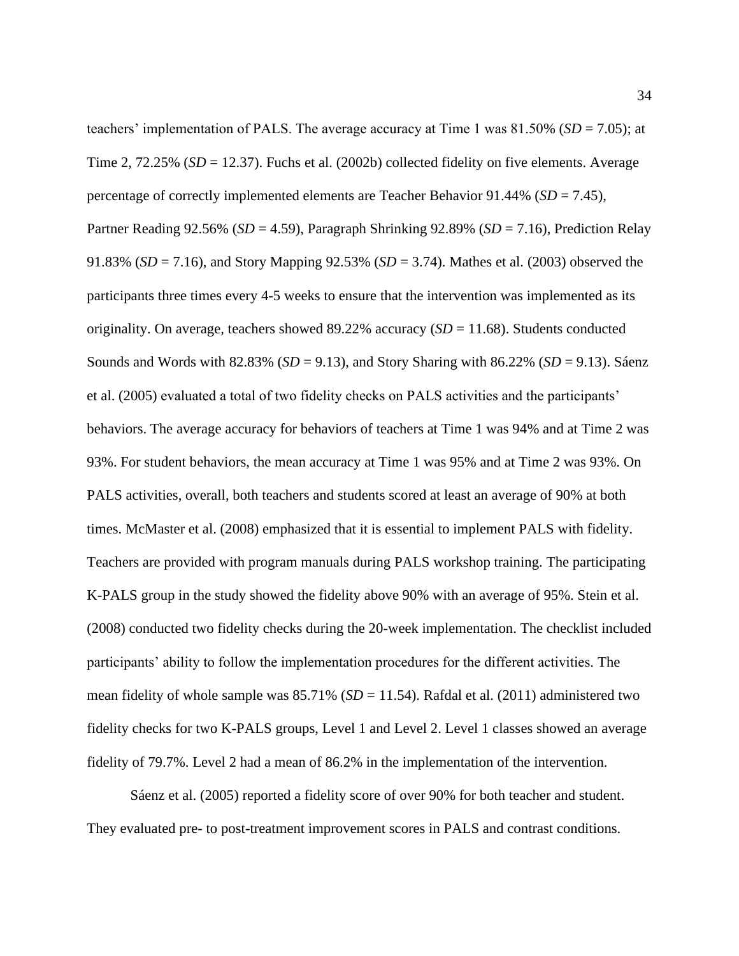teachers' implementation of PALS. The average accuracy at Time 1 was 81.50% (*SD* = 7.05); at Time 2, 72.25% (*SD* = 12.37). Fuchs et al. (2002b) collected fidelity on five elements. Average percentage of correctly implemented elements are Teacher Behavior 91.44% (*SD* = 7.45), Partner Reading 92.56% (*SD* = 4.59), Paragraph Shrinking 92.89% (*SD* = 7.16), Prediction Relay 91.83% (*SD* = 7.16), and Story Mapping 92.53% (*SD* = 3.74). Mathes et al. (2003) observed the participants three times every 4-5 weeks to ensure that the intervention was implemented as its originality. On average, teachers showed 89.22% accuracy (*SD* = 11.68). Students conducted Sounds and Words with  $82.83\%$  (*SD* = 9.13), and Story Sharing with  $86.22\%$  (*SD* = 9.13). Sáenz et al. (2005) evaluated a total of two fidelity checks on PALS activities and the participants' behaviors. The average accuracy for behaviors of teachers at Time 1 was 94% and at Time 2 was 93%. For student behaviors, the mean accuracy at Time 1 was 95% and at Time 2 was 93%. On PALS activities, overall, both teachers and students scored at least an average of 90% at both times. McMaster et al. (2008) emphasized that it is essential to implement PALS with fidelity. Teachers are provided with program manuals during PALS workshop training. The participating K-PALS group in the study showed the fidelity above 90% with an average of 95%. Stein et al. (2008) conducted two fidelity checks during the 20-week implementation. The checklist included participants' ability to follow the implementation procedures for the different activities. The mean fidelity of whole sample was  $85.71\%$  (*SD* = 11.54). Rafdal et al. (2011) administered two fidelity checks for two K-PALS groups, Level 1 and Level 2. Level 1 classes showed an average fidelity of 79.7%. Level 2 had a mean of 86.2% in the implementation of the intervention.

Sáenz et al. (2005) reported a fidelity score of over 90% for both teacher and student. They evaluated pre- to post-treatment improvement scores in PALS and contrast conditions.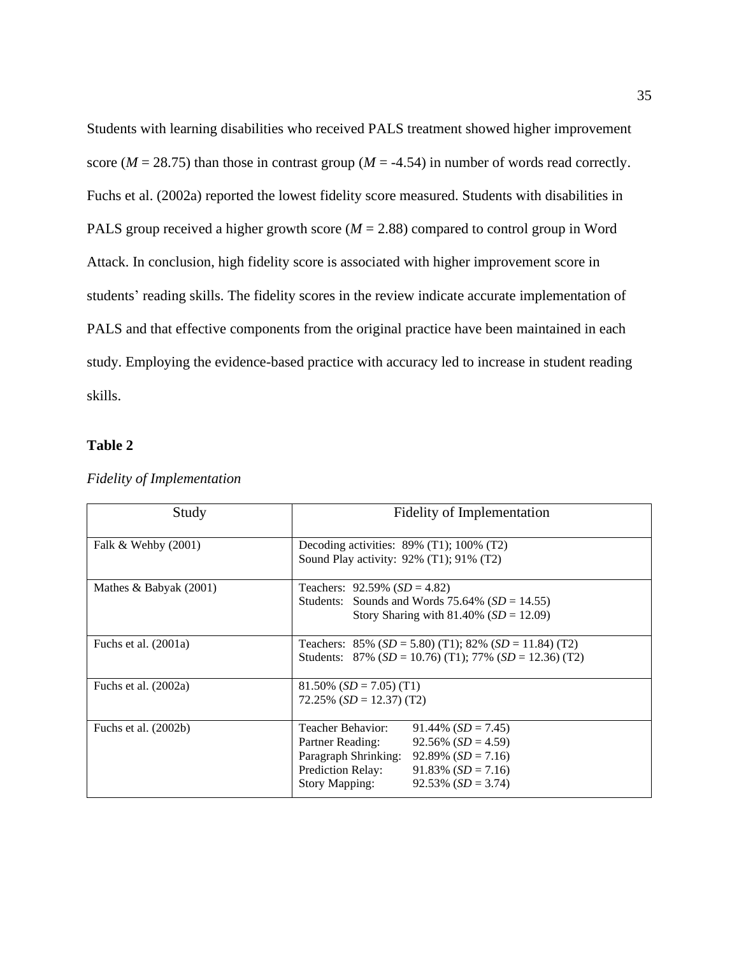Students with learning disabilities who received PALS treatment showed higher improvement score ( $M = 28.75$ ) than those in contrast group ( $M = -4.54$ ) in number of words read correctly. Fuchs et al. (2002a) reported the lowest fidelity score measured. Students with disabilities in PALS group received a higher growth score ( $M = 2.88$ ) compared to control group in Word Attack. In conclusion, high fidelity score is associated with higher improvement score in students' reading skills. The fidelity scores in the review indicate accurate implementation of PALS and that effective components from the original practice have been maintained in each study. Employing the evidence-based practice with accuracy led to increase in student reading skills.

### **Table 2**

| Study                    | <b>Fidelity of Implementation</b>                                                                                                                                                                                                        |
|--------------------------|------------------------------------------------------------------------------------------------------------------------------------------------------------------------------------------------------------------------------------------|
| Falk & Wehby $(2001)$    | Decoding activities: 89% (T1); 100% (T2)<br>Sound Play activity: 92% (T1); 91% (T2)                                                                                                                                                      |
| Mathes & Babyak $(2001)$ | Teachers: $92.59\%$ (SD = 4.82)<br>Students: Sounds and Words $75.64\%$ (SD = 14.55)<br>Story Sharing with 81.40% ( $SD = 12.09$ )                                                                                                       |
| Fuchs et al. $(2001a)$   | Teachers: $85\%$ ( <i>SD</i> = 5.80) (T1); $82\%$ ( <i>SD</i> = 11.84) (T2)<br>Students: $87\%$ (SD = 10.76) (T1); 77\% (SD = 12.36) (T2)                                                                                                |
| Fuchs et al. $(2002a)$   | $81.50\%$ (SD = 7.05) (T1)<br>$72.25\%$ (SD = 12.37) (T2)                                                                                                                                                                                |
| Fuchs et al. $(2002b)$   | Teacher Behavior:<br>$91.44\%$ (SD = 7.45)<br>$92.56\%$ (SD = 4.59)<br>Partner Reading:<br>Paragraph Shrinking:<br>$92.89\%$ (SD = 7.16)<br>Prediction Relay:<br>$91.83\%$ (SD = 7.16)<br><b>Story Mapping:</b><br>$92.53\%$ (SD = 3.74) |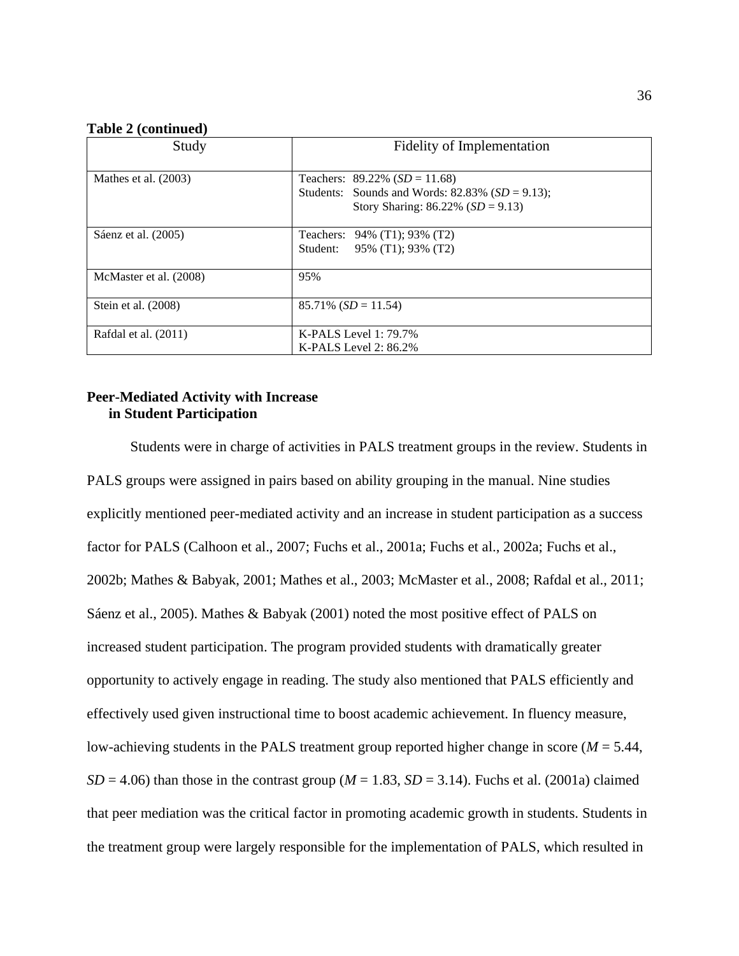**Table 2 (continued)**

| Study                  | Fidelity of Implementation                                                                                                      |
|------------------------|---------------------------------------------------------------------------------------------------------------------------------|
| Mathes et al. $(2003)$ | Teachers: $89.22\%$ (SD = 11.68)<br>Students: Sounds and Words: $82.83\%$ (SD = 9.13);<br>Story Sharing: 86.22% ( $SD = 9.13$ ) |
| Sáenz et al. (2005)    | 94% (T1); 93% (T2)<br>Teachers:<br>95% (T1); 93% (T2)<br>Student:                                                               |
| McMaster et al. (2008) | 95%                                                                                                                             |
| Stein et al. (2008)    | $85.71\%$ (SD = 11.54)                                                                                                          |
| Rafdal et al. (2011)   | K-PALS Level $1:79.7\%$<br>K-PALS Level $2:86.2\%$                                                                              |

### **Peer-Mediated Activity with Increase in Student Participation**

Students were in charge of activities in PALS treatment groups in the review. Students in PALS groups were assigned in pairs based on ability grouping in the manual. Nine studies explicitly mentioned peer-mediated activity and an increase in student participation as a success factor for PALS (Calhoon et al., 2007; Fuchs et al., 2001a; Fuchs et al., 2002a; Fuchs et al., 2002b; Mathes & Babyak, 2001; Mathes et al., 2003; McMaster et al., 2008; Rafdal et al., 2011; Sáenz et al., 2005). Mathes & Babyak (2001) noted the most positive effect of PALS on increased student participation. The program provided students with dramatically greater opportunity to actively engage in reading. The study also mentioned that PALS efficiently and effectively used given instructional time to boost academic achievement. In fluency measure, low-achieving students in the PALS treatment group reported higher change in score (*M* = 5.44,  $SD = 4.06$ ) than those in the contrast group ( $M = 1.83$ ,  $SD = 3.14$ ). Fuchs et al. (2001a) claimed that peer mediation was the critical factor in promoting academic growth in students. Students in the treatment group were largely responsible for the implementation of PALS, which resulted in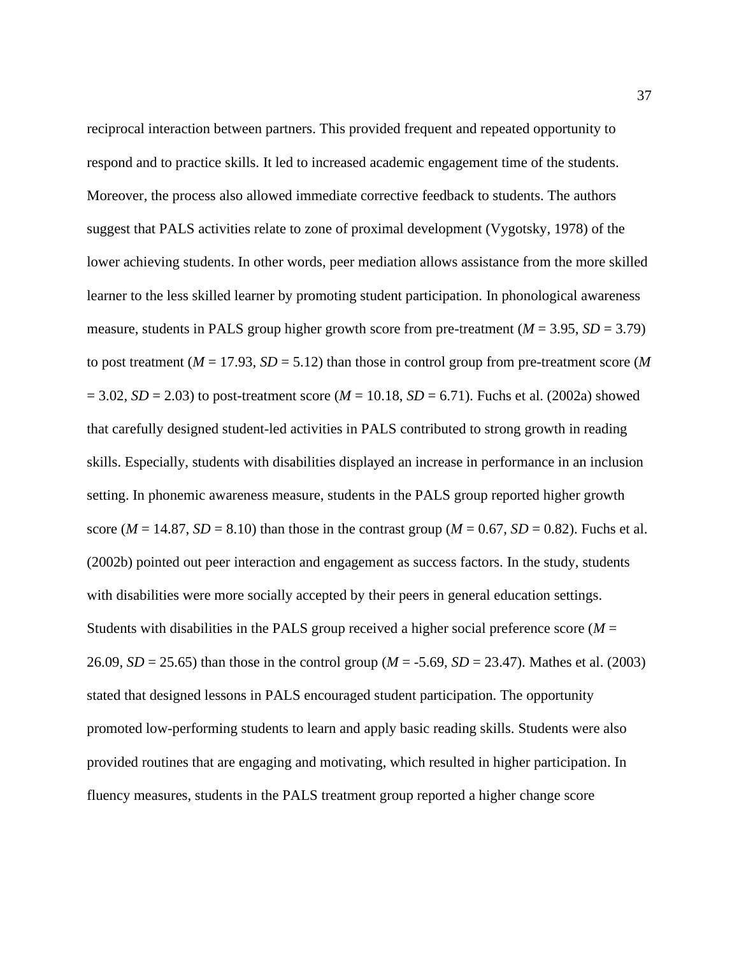reciprocal interaction between partners. This provided frequent and repeated opportunity to respond and to practice skills. It led to increased academic engagement time of the students. Moreover, the process also allowed immediate corrective feedback to students. The authors suggest that PALS activities relate to zone of proximal development (Vygotsky, 1978) of the lower achieving students. In other words, peer mediation allows assistance from the more skilled learner to the less skilled learner by promoting student participation. In phonological awareness measure, students in PALS group higher growth score from pre-treatment  $(M = 3.95, SD = 3.79)$ to post treatment ( $M = 17.93$ ,  $SD = 5.12$ ) than those in control group from pre-treatment score (M)  $= 3.02, SD = 2.03$  to post-treatment score ( $M = 10.18$ ,  $SD = 6.71$ ). Fuchs et al. (2002a) showed that carefully designed student-led activities in PALS contributed to strong growth in reading skills. Especially, students with disabilities displayed an increase in performance in an inclusion setting. In phonemic awareness measure, students in the PALS group reported higher growth score ( $M = 14.87$ ,  $SD = 8.10$ ) than those in the contrast group ( $M = 0.67$ ,  $SD = 0.82$ ). Fuchs et al. (2002b) pointed out peer interaction and engagement as success factors. In the study, students with disabilities were more socially accepted by their peers in general education settings. Students with disabilities in the PALS group received a higher social preference score  $(M =$ 26.09, *SD* = 25.65) than those in the control group (*M* = -5.69, *SD* = 23.47). Mathes et al. (2003) stated that designed lessons in PALS encouraged student participation. The opportunity promoted low-performing students to learn and apply basic reading skills. Students were also provided routines that are engaging and motivating, which resulted in higher participation. In fluency measures, students in the PALS treatment group reported a higher change score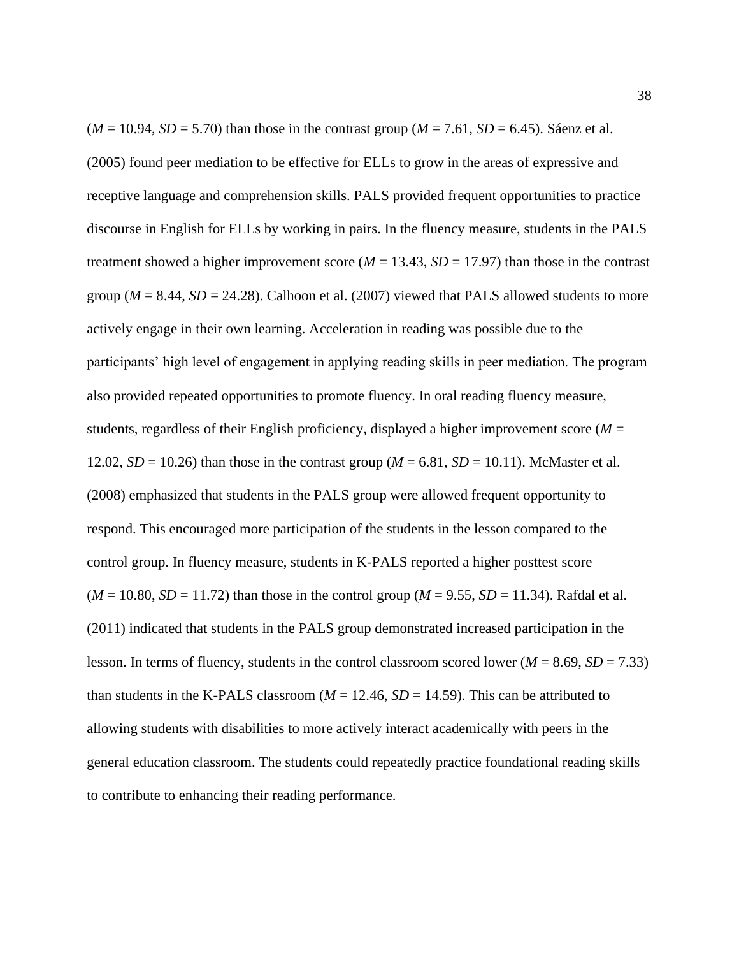$(M = 10.94, SD = 5.70)$  than those in the contrast group  $(M = 7.61, SD = 6.45)$ . Sáenz et al. (2005) found peer mediation to be effective for ELLs to grow in the areas of expressive and receptive language and comprehension skills. PALS provided frequent opportunities to practice discourse in English for ELLs by working in pairs. In the fluency measure, students in the PALS treatment showed a higher improvement score ( $M = 13.43$ ,  $SD = 17.97$ ) than those in the contrast group ( $M = 8.44$ ,  $SD = 24.28$ ). Calhoon et al. (2007) viewed that PALS allowed students to more actively engage in their own learning. Acceleration in reading was possible due to the participants' high level of engagement in applying reading skills in peer mediation. The program also provided repeated opportunities to promote fluency. In oral reading fluency measure, students, regardless of their English proficiency, displayed a higher improvement score  $(M =$ 12.02,  $SD = 10.26$ ) than those in the contrast group ( $M = 6.81$ ,  $SD = 10.11$ ). McMaster et al. (2008) emphasized that students in the PALS group were allowed frequent opportunity to respond. This encouraged more participation of the students in the lesson compared to the control group. In fluency measure, students in K-PALS reported a higher posttest score  $(M = 10.80, SD = 11.72)$  than those in the control group  $(M = 9.55, SD = 11.34)$ . Rafdal et al. (2011) indicated that students in the PALS group demonstrated increased participation in the lesson. In terms of fluency, students in the control classroom scored lower (*M* = 8.69, *SD* = 7.33) than students in the K-PALS classroom ( $M = 12.46$ ,  $SD = 14.59$ ). This can be attributed to allowing students with disabilities to more actively interact academically with peers in the general education classroom. The students could repeatedly practice foundational reading skills to contribute to enhancing their reading performance.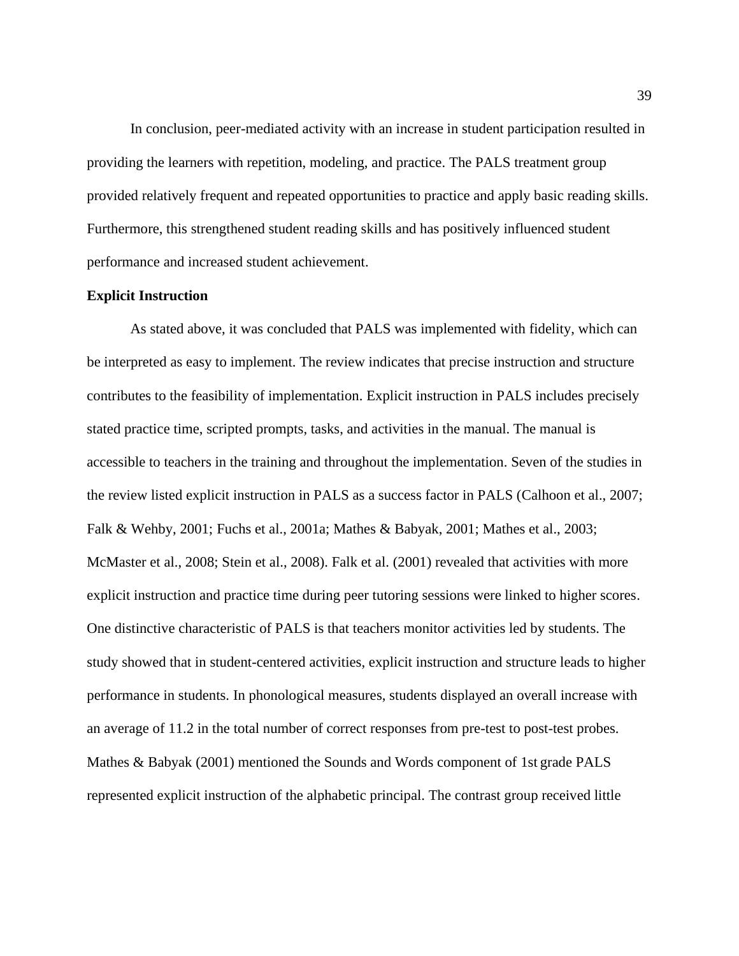In conclusion, peer-mediated activity with an increase in student participation resulted in providing the learners with repetition, modeling, and practice. The PALS treatment group provided relatively frequent and repeated opportunities to practice and apply basic reading skills. Furthermore, this strengthened student reading skills and has positively influenced student performance and increased student achievement.

### **Explicit Instruction**

As stated above, it was concluded that PALS was implemented with fidelity, which can be interpreted as easy to implement. The review indicates that precise instruction and structure contributes to the feasibility of implementation. Explicit instruction in PALS includes precisely stated practice time, scripted prompts, tasks, and activities in the manual. The manual is accessible to teachers in the training and throughout the implementation. Seven of the studies in the review listed explicit instruction in PALS as a success factor in PALS (Calhoon et al., 2007; Falk & Wehby, 2001; Fuchs et al., 2001a; Mathes & Babyak, 2001; Mathes et al., 2003; McMaster et al., 2008; Stein et al., 2008). Falk et al. (2001) revealed that activities with more explicit instruction and practice time during peer tutoring sessions were linked to higher scores. One distinctive characteristic of PALS is that teachers monitor activities led by students. The study showed that in student-centered activities, explicit instruction and structure leads to higher performance in students. In phonological measures, students displayed an overall increase with an average of 11.2 in the total number of correct responses from pre-test to post-test probes. Mathes & Babyak (2001) mentioned the Sounds and Words component of 1st grade PALS represented explicit instruction of the alphabetic principal. The contrast group received little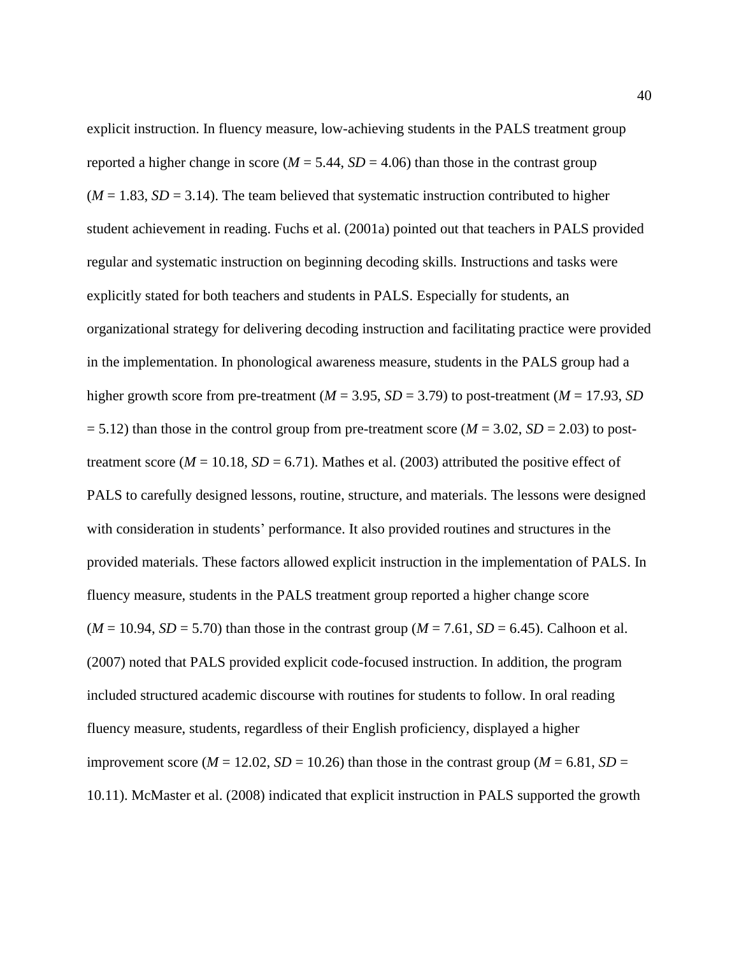explicit instruction. In fluency measure, low-achieving students in the PALS treatment group reported a higher change in score ( $M = 5.44$ ,  $SD = 4.06$ ) than those in the contrast group  $(M = 1.83, SD = 3.14)$ . The team believed that systematic instruction contributed to higher student achievement in reading. Fuchs et al. (2001a) pointed out that teachers in PALS provided regular and systematic instruction on beginning decoding skills. Instructions and tasks were explicitly stated for both teachers and students in PALS. Especially for students, an organizational strategy for delivering decoding instruction and facilitating practice were provided in the implementation. In phonological awareness measure, students in the PALS group had a higher growth score from pre-treatment ( $M = 3.95$ ,  $SD = 3.79$ ) to post-treatment ( $M = 17.93$ ,  $SD$  $= 5.12$ ) than those in the control group from pre-treatment score ( $M = 3.02$ ,  $SD = 2.03$ ) to posttreatment score ( $M = 10.18$ ,  $SD = 6.71$ ). Mathes et al. (2003) attributed the positive effect of PALS to carefully designed lessons, routine, structure, and materials. The lessons were designed with consideration in students' performance. It also provided routines and structures in the provided materials. These factors allowed explicit instruction in the implementation of PALS. In fluency measure, students in the PALS treatment group reported a higher change score  $(M = 10.94, SD = 5.70)$  than those in the contrast group  $(M = 7.61, SD = 6.45)$ . Calhoon et al. (2007) noted that PALS provided explicit code-focused instruction. In addition, the program included structured academic discourse with routines for students to follow. In oral reading fluency measure, students, regardless of their English proficiency, displayed a higher improvement score ( $M = 12.02$ ,  $SD = 10.26$ ) than those in the contrast group ( $M = 6.81$ ,  $SD =$ 10.11). McMaster et al. (2008) indicated that explicit instruction in PALS supported the growth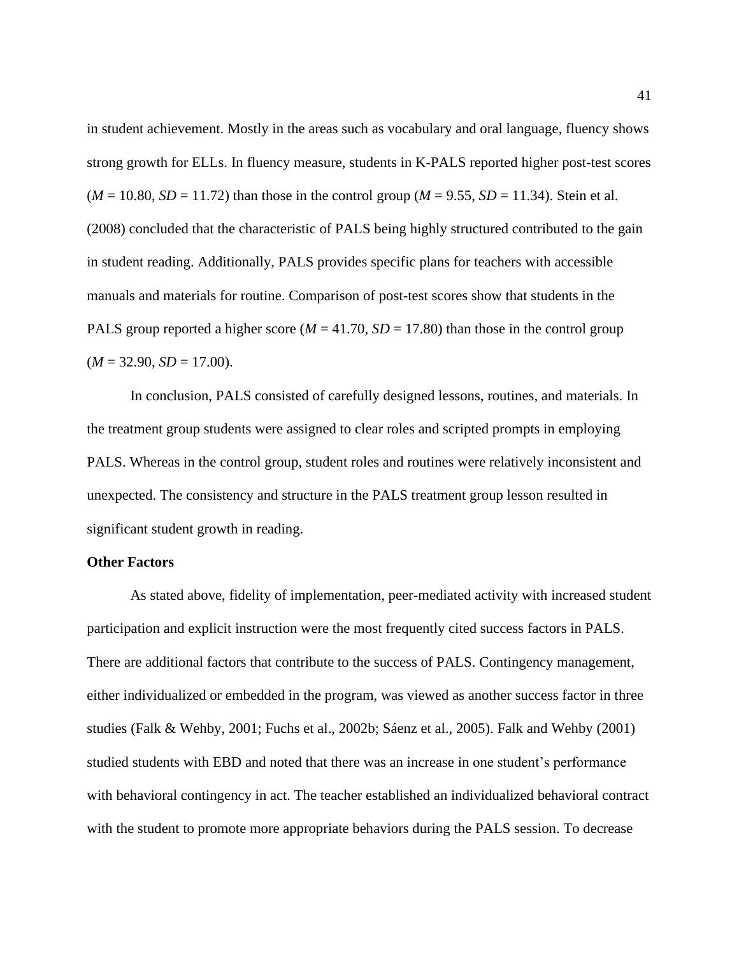in student achievement. Mostly in the areas such as vocabulary and oral language, fluency shows strong growth for ELLs. In fluency measure, students in K-PALS reported higher post-test scores  $(M = 10.80, SD = 11.72)$  than those in the control group  $(M = 9.55, SD = 11.34)$ . Stein et al. (2008) concluded that the characteristic of PALS being highly structured contributed to the gain in student reading. Additionally, PALS provides specific plans for teachers with accessible manuals and materials for routine. Comparison of post-test scores show that students in the PALS group reported a higher score ( $M = 41.70$ ,  $SD = 17.80$ ) than those in the control group  $(M = 32.90, SD = 17.00).$ 

In conclusion, PALS consisted of carefully designed lessons, routines, and materials. In the treatment group students were assigned to clear roles and scripted prompts in employing PALS. Whereas in the control group, student roles and routines were relatively inconsistent and unexpected. The consistency and structure in the PALS treatment group lesson resulted in significant student growth in reading.

### **Other Factors**

As stated above, fidelity of implementation, peer-mediated activity with increased student participation and explicit instruction were the most frequently cited success factors in PALS. There are additional factors that contribute to the success of PALS. Contingency management, either individualized or embedded in the program, was viewed as another success factor in three studies (Falk & Wehby, 2001; Fuchs et al., 2002b; Sáenz et al., 2005). Falk and Wehby (2001) studied students with EBD and noted that there was an increase in one student's performance with behavioral contingency in act. The teacher established an individualized behavioral contract with the student to promote more appropriate behaviors during the PALS session. To decrease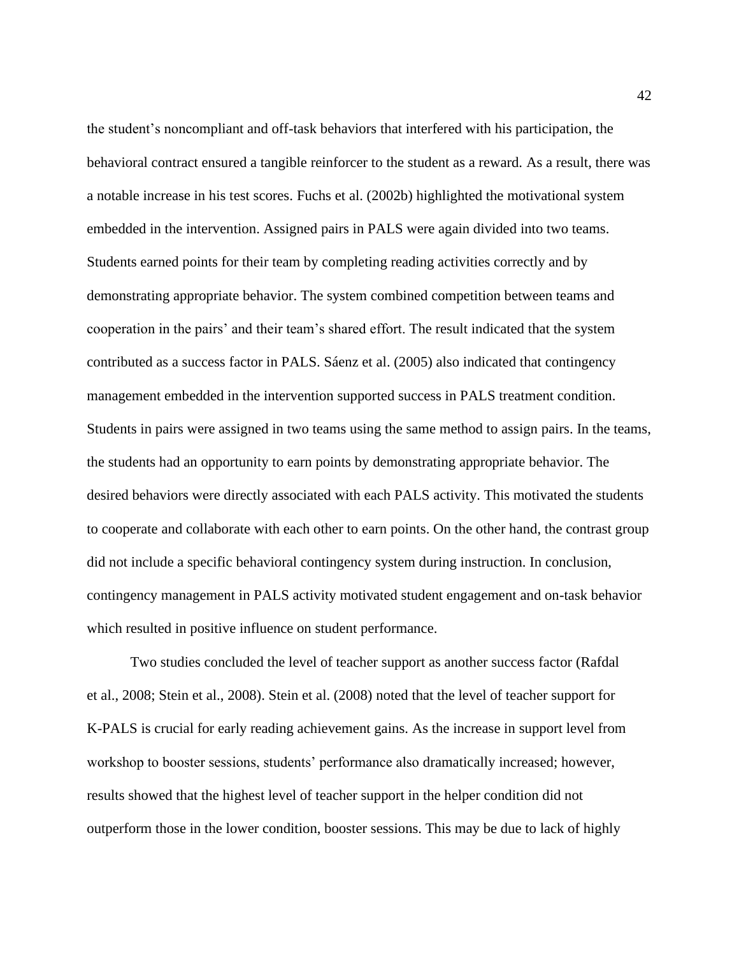the student's noncompliant and off-task behaviors that interfered with his participation, the behavioral contract ensured a tangible reinforcer to the student as a reward. As a result, there was a notable increase in his test scores. Fuchs et al. (2002b) highlighted the motivational system embedded in the intervention. Assigned pairs in PALS were again divided into two teams. Students earned points for their team by completing reading activities correctly and by demonstrating appropriate behavior. The system combined competition between teams and cooperation in the pairs' and their team's shared effort. The result indicated that the system contributed as a success factor in PALS. Sáenz et al. (2005) also indicated that contingency management embedded in the intervention supported success in PALS treatment condition. Students in pairs were assigned in two teams using the same method to assign pairs. In the teams, the students had an opportunity to earn points by demonstrating appropriate behavior. The desired behaviors were directly associated with each PALS activity. This motivated the students to cooperate and collaborate with each other to earn points. On the other hand, the contrast group did not include a specific behavioral contingency system during instruction. In conclusion, contingency management in PALS activity motivated student engagement and on-task behavior which resulted in positive influence on student performance.

Two studies concluded the level of teacher support as another success factor (Rafdal et al., 2008; Stein et al., 2008). Stein et al. (2008) noted that the level of teacher support for K-PALS is crucial for early reading achievement gains. As the increase in support level from workshop to booster sessions, students' performance also dramatically increased; however, results showed that the highest level of teacher support in the helper condition did not outperform those in the lower condition, booster sessions. This may be due to lack of highly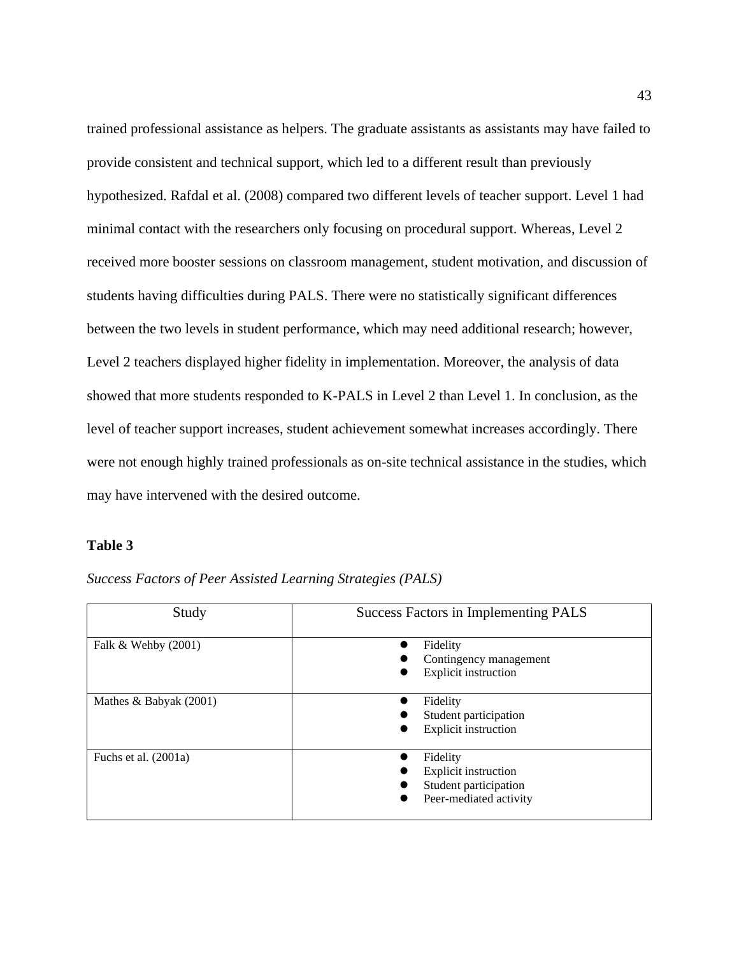trained professional assistance as helpers. The graduate assistants as assistants may have failed to provide consistent and technical support, which led to a different result than previously hypothesized. Rafdal et al. (2008) compared two different levels of teacher support. Level 1 had minimal contact with the researchers only focusing on procedural support. Whereas, Level 2 received more booster sessions on classroom management, student motivation, and discussion of students having difficulties during PALS. There were no statistically significant differences between the two levels in student performance, which may need additional research; however, Level 2 teachers displayed higher fidelity in implementation. Moreover, the analysis of data showed that more students responded to K-PALS in Level 2 than Level 1. In conclusion, as the level of teacher support increases, student achievement somewhat increases accordingly. There were not enough highly trained professionals as on-site technical assistance in the studies, which may have intervened with the desired outcome.

### **Table 3**

| Study                  | Success Factors in Implementing PALS                                                       |  |
|------------------------|--------------------------------------------------------------------------------------------|--|
| Falk & Wehby $(2001)$  | Fidelity<br>Contingency management<br><b>Explicit instruction</b>                          |  |
| Mathes & Babyak (2001) | Fidelity<br>Student participation<br><b>Explicit instruction</b>                           |  |
| Fuchs et al. $(2001a)$ | Fidelity<br><b>Explicit instruction</b><br>Student participation<br>Peer-mediated activity |  |

*Success Factors of Peer Assisted Learning Strategies (PALS)*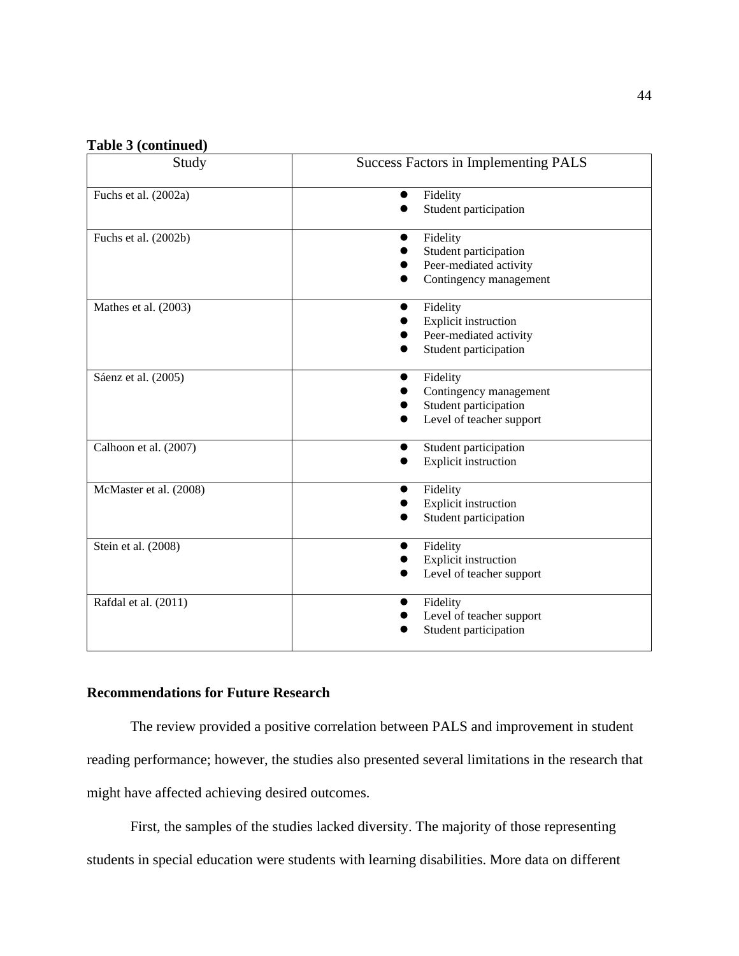### **Table 3 (continued)**

| Study                  | <b>Success Factors in Implementing PALS</b>                                                |
|------------------------|--------------------------------------------------------------------------------------------|
| Fuchs et al. (2002a)   | Fidelity<br>Student participation                                                          |
| Fuchs et al. (2002b)   | Fidelity<br>Student participation<br>Peer-mediated activity<br>Contingency management      |
| Mathes et al. (2003)   | Fidelity<br><b>Explicit instruction</b><br>Peer-mediated activity<br>Student participation |
| Sáenz et al. (2005)    | Fidelity<br>Contingency management<br>Student participation<br>Level of teacher support    |
| Calhoon et al. (2007)  | Student participation<br><b>Explicit instruction</b>                                       |
| McMaster et al. (2008) | Fidelity<br><b>Explicit instruction</b><br>Student participation                           |
| Stein et al. (2008)    | Fidelity<br><b>Explicit instruction</b><br>Level of teacher support                        |
| Rafdal et al. (2011)   | Fidelity<br>Level of teacher support<br>Student participation                              |

### **Recommendations for Future Research**

The review provided a positive correlation between PALS and improvement in student reading performance; however, the studies also presented several limitations in the research that might have affected achieving desired outcomes.

First, the samples of the studies lacked diversity. The majority of those representing students in special education were students with learning disabilities. More data on different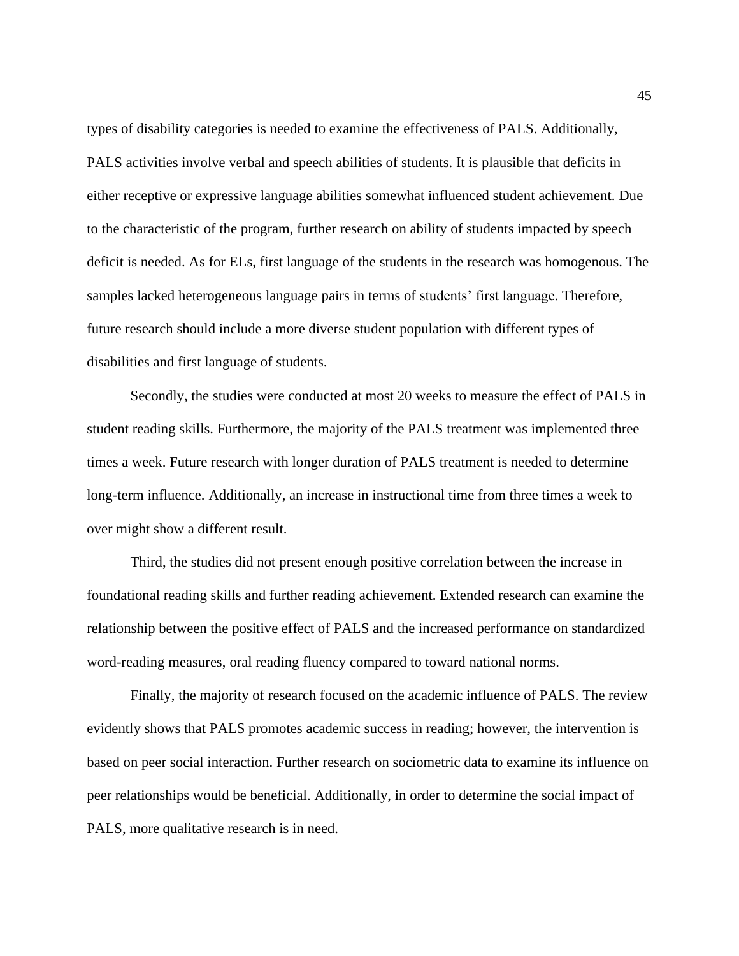types of disability categories is needed to examine the effectiveness of PALS. Additionally, PALS activities involve verbal and speech abilities of students. It is plausible that deficits in either receptive or expressive language abilities somewhat influenced student achievement. Due to the characteristic of the program, further research on ability of students impacted by speech deficit is needed. As for ELs, first language of the students in the research was homogenous. The samples lacked heterogeneous language pairs in terms of students' first language. Therefore, future research should include a more diverse student population with different types of disabilities and first language of students.

Secondly, the studies were conducted at most 20 weeks to measure the effect of PALS in student reading skills. Furthermore, the majority of the PALS treatment was implemented three times a week. Future research with longer duration of PALS treatment is needed to determine long-term influence. Additionally, an increase in instructional time from three times a week to over might show a different result.

Third, the studies did not present enough positive correlation between the increase in foundational reading skills and further reading achievement. Extended research can examine the relationship between the positive effect of PALS and the increased performance on standardized word-reading measures, oral reading fluency compared to toward national norms.

Finally, the majority of research focused on the academic influence of PALS. The review evidently shows that PALS promotes academic success in reading; however, the intervention is based on peer social interaction. Further research on sociometric data to examine its influence on peer relationships would be beneficial. Additionally, in order to determine the social impact of PALS, more qualitative research is in need.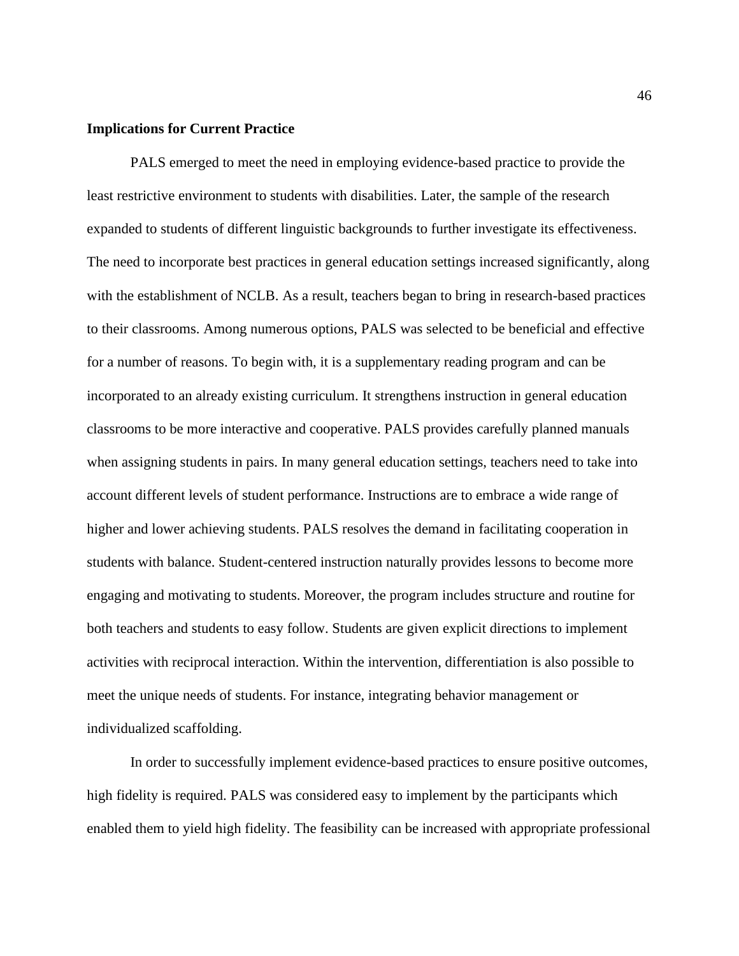### **Implications for Current Practice**

PALS emerged to meet the need in employing evidence-based practice to provide the least restrictive environment to students with disabilities. Later, the sample of the research expanded to students of different linguistic backgrounds to further investigate its effectiveness. The need to incorporate best practices in general education settings increased significantly, along with the establishment of NCLB. As a result, teachers began to bring in research-based practices to their classrooms. Among numerous options, PALS was selected to be beneficial and effective for a number of reasons. To begin with, it is a supplementary reading program and can be incorporated to an already existing curriculum. It strengthens instruction in general education classrooms to be more interactive and cooperative. PALS provides carefully planned manuals when assigning students in pairs. In many general education settings, teachers need to take into account different levels of student performance. Instructions are to embrace a wide range of higher and lower achieving students. PALS resolves the demand in facilitating cooperation in students with balance. Student-centered instruction naturally provides lessons to become more engaging and motivating to students. Moreover, the program includes structure and routine for both teachers and students to easy follow. Students are given explicit directions to implement activities with reciprocal interaction. Within the intervention, differentiation is also possible to meet the unique needs of students. For instance, integrating behavior management or individualized scaffolding.

In order to successfully implement evidence-based practices to ensure positive outcomes, high fidelity is required. PALS was considered easy to implement by the participants which enabled them to yield high fidelity. The feasibility can be increased with appropriate professional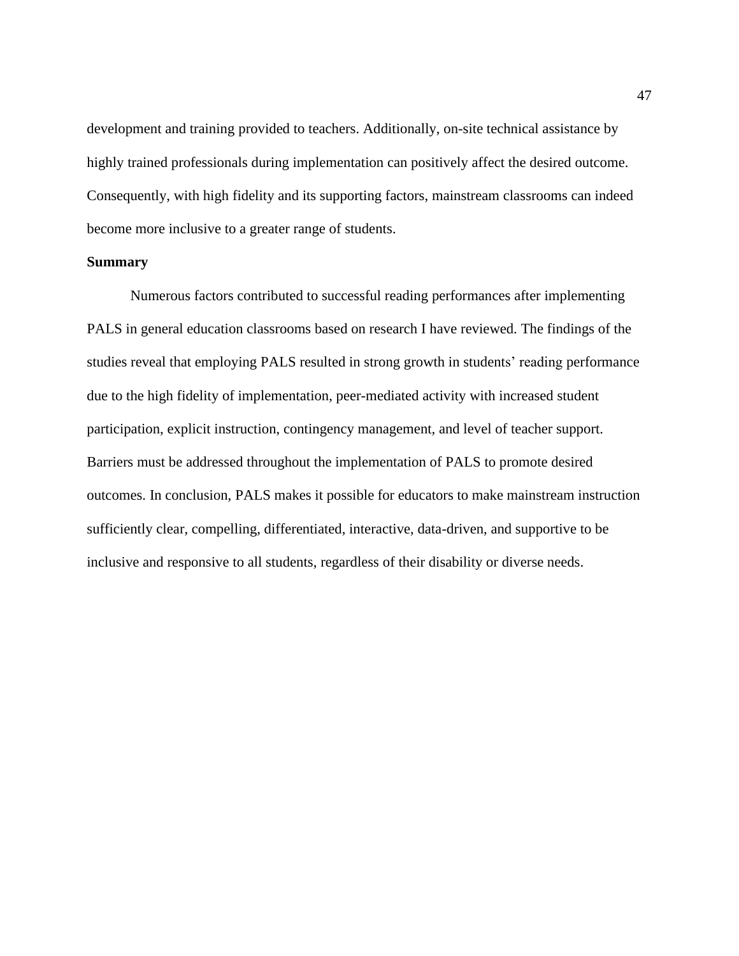development and training provided to teachers. Additionally, on-site technical assistance by highly trained professionals during implementation can positively affect the desired outcome. Consequently, with high fidelity and its supporting factors, mainstream classrooms can indeed become more inclusive to a greater range of students.

### **Summary**

Numerous factors contributed to successful reading performances after implementing PALS in general education classrooms based on research I have reviewed. The findings of the studies reveal that employing PALS resulted in strong growth in students' reading performance due to the high fidelity of implementation, peer-mediated activity with increased student participation, explicit instruction, contingency management, and level of teacher support. Barriers must be addressed throughout the implementation of PALS to promote desired outcomes. In conclusion, PALS makes it possible for educators to make mainstream instruction sufficiently clear, compelling, differentiated, interactive, data-driven, and supportive to be inclusive and responsive to all students, regardless of their disability or diverse needs.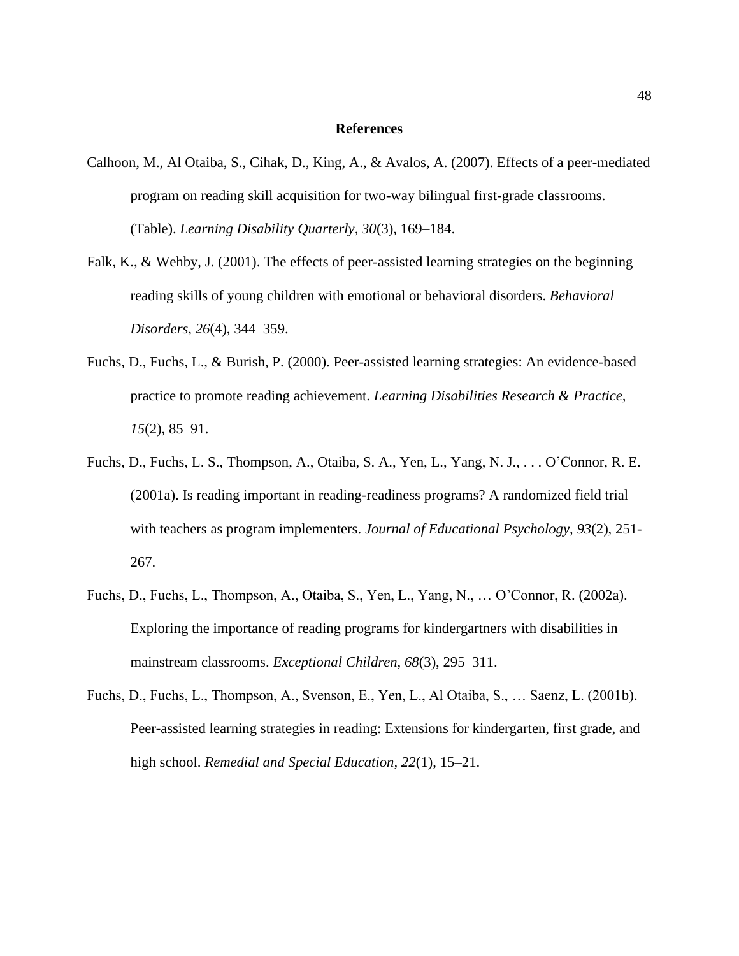#### **References**

- Calhoon, M., Al Otaiba, S., Cihak, D., King, A., & Avalos, A. (2007). Effects of a peer-mediated program on reading skill acquisition for two-way bilingual first-grade classrooms. (Table). *Learning Disability Quarterly, 30*(3), 169–184.
- Falk, K., & Wehby, J. (2001). The effects of peer-assisted learning strategies on the beginning reading skills of young children with emotional or behavioral disorders. *Behavioral Disorders, 26*(4), 344–359.
- Fuchs, D., Fuchs, L., & Burish, P. (2000). Peer-assisted learning strategies: An evidence-based practice to promote reading achievement. *Learning Disabilities Research & Practice, 15*(2), 85–91.
- Fuchs, D., Fuchs, L. S., Thompson, A., Otaiba, S. A., Yen, L., Yang, N. J., . . . O'Connor, R. E. (2001a). Is reading important in reading-readiness programs? A randomized field trial with teachers as program implementers. *Journal of Educational Psychology, 93*(2), 251- 267.
- Fuchs, D., Fuchs, L., Thompson, A., Otaiba, S., Yen, L., Yang, N., … O'Connor, R. (2002a). Exploring the importance of reading programs for kindergartners with disabilities in mainstream classrooms. *Exceptional Children, 68*(3), 295–311.
- Fuchs, D., Fuchs, L., Thompson, A., Svenson, E., Yen, L., Al Otaiba, S., … Saenz, L. (2001b). Peer-assisted learning strategies in reading: Extensions for kindergarten, first grade, and high school. *Remedial and Special Education, 22*(1), 15–21.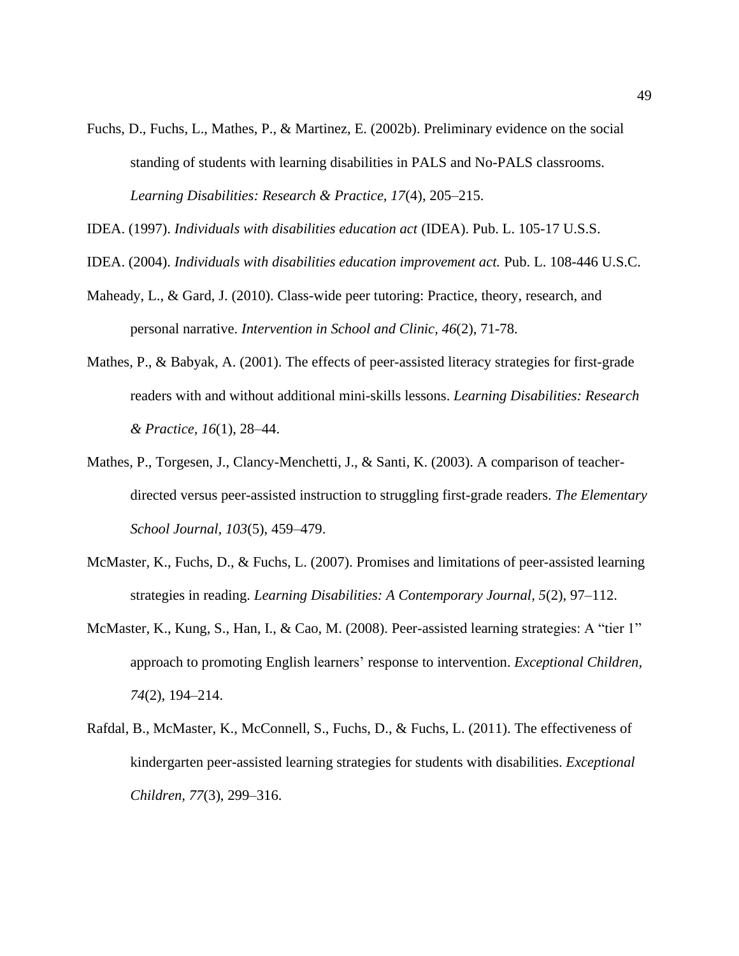Fuchs, D., Fuchs, L., Mathes, P., & Martinez, E. (2002b). Preliminary evidence on the social standing of students with learning disabilities in PALS and No-PALS classrooms. *Learning Disabilities: Research & Practice, 17*(4), 205–215.

IDEA. (1997). *Individuals with disabilities education act* (IDEA). Pub. L. 105-17 U.S.S.

- IDEA. (2004). *Individuals with disabilities education improvement act.* Pub. L. 108-446 U.S.C.
- Maheady, L., & Gard, J. (2010). Class-wide peer tutoring: Practice, theory, research, and personal narrative. *Intervention in School and Clinic, 46*(2), 71-78.
- Mathes, P., & Babyak, A. (2001). The effects of peer-assisted literacy strategies for first-grade readers with and without additional mini-skills lessons. *Learning Disabilities: Research & Practice, 16*(1), 28–44.
- Mathes, P., Torgesen, J., Clancy-Menchetti, J., & Santi, K. (2003). A comparison of teacherdirected versus peer-assisted instruction to struggling first-grade readers. *The Elementary School Journal, 103*(5), 459–479.
- McMaster, K., Fuchs, D., & Fuchs, L. (2007). Promises and limitations of peer-assisted learning strategies in reading. *Learning Disabilities: A Contemporary Journal, 5*(2), 97–112.
- McMaster, K., Kung, S., Han, I., & Cao, M. (2008). Peer-assisted learning strategies: A "tier 1" approach to promoting English learners' response to intervention. *Exceptional Children, 74*(2), 194–214.
- Rafdal, B., McMaster, K., McConnell, S., Fuchs, D., & Fuchs, L. (2011). The effectiveness of kindergarten peer-assisted learning strategies for students with disabilities. *Exceptional Children, 77*(3), 299–316.